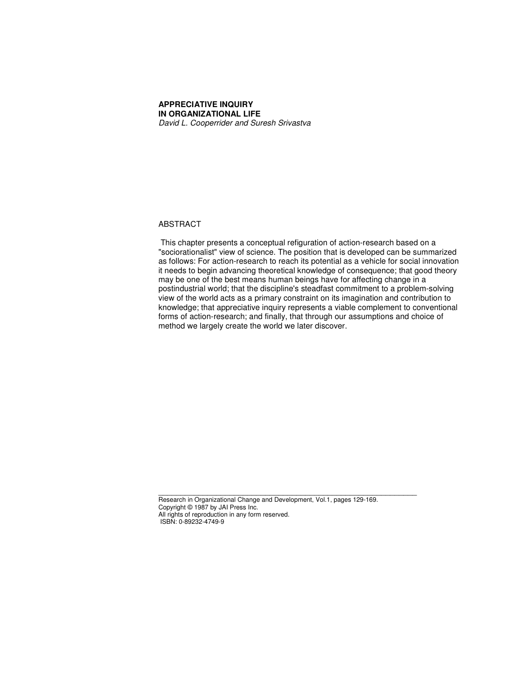## **APPRECIATIVE INQUIRY IN ORGANIZATIONAL LIFE**

David L. Cooperrider and Suresh Srivastva

# ABSTRACT

 This chapter presents a conceptual refiguration of action-research based on a "sociorationalist" view of science. The position that is developed can be summarized as follows: For action-research to reach its potential as a vehicle for social innovation it needs to begin advancing theoretical knowledge of consequence; that good theory may be one of the best means human beings have for affecting change in a postindustrial world; that the discipline's steadfast commitment to a problem-solving view of the world acts as a primary constraint on its imagination and contribution to knowledge; that appreciative inquiry represents a viable complement to conventional forms of action-research; and finally, that through our assumptions and choice of method we largely create the world we later discover.

Research in Organizational Change and Development, Vol.1, pages 129-169. Copyright © 1987 by JAI Press Inc. All rights of reproduction in any form reserved. ISBN: 0-89232-4749-9

\_\_\_\_\_\_\_\_\_\_\_\_\_\_\_\_\_\_\_\_\_\_\_\_\_\_\_\_\_\_\_\_\_\_\_\_\_\_\_\_\_\_\_\_\_\_\_\_\_\_\_\_\_\_\_\_\_\_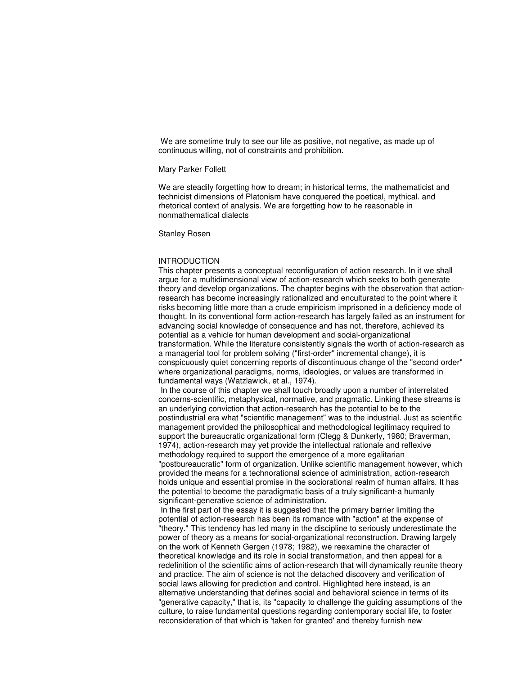We are sometime truly to see our life as positive, not negative, as made up of continuous willing, not of constraints and prohibition.

Mary Parker Follett

We are steadily forgetting how to dream; in historical terms, the mathematicist and technicist dimensions of Platonism have conquered the poetical, mythical. and rhetorical context of analysis. We are forgetting how to he reasonable in nonmathematical dialects

Stanley Rosen

#### INTRODUCTION

This chapter presents a conceptual reconfiguration of action research. In it we shall argue for a multidimensional view of action-research which seeks to both generate theory and develop organizations. The chapter begins with the observation that actionresearch has become increasingly rationalized and enculturated to the point where it risks becoming little more than a crude empiricism imprisoned in a deficiency mode of thought. In its conventional form action-research has largely failed as an instrument for advancing social knowledge of consequence and has not, therefore, achieved its potential as a vehicle for human development and social-organizational transformation. While the literature consistently signals the worth of action-research as a managerial tool for problem solving ("first-order" incremental change), it is conspicuously quiet concerning reports of discontinuous change of the "second order" where organizational paradigms, norms, ideologies, or values are transformed in fundamental ways (Watzlawick, et al., 1974).

 In the course of this chapter we shall touch broadly upon a number of interrelated concerns-scientific, metaphysical, normative, and pragmatic. Linking these streams is an underlying conviction that action-research has the potential to be to the postindustrial era what "scientific management" was to the industrial. Just as scientific management provided the philosophical and methodological legitimacy required to support the bureaucratic organizational form (Clegg & Dunkerly, 1980; Braverman, 1974), action-research may yet provide the intellectual rationale and reflexive methodology required to support the emergence of a more egalitarian "postbureaucratic" form of organization. Unlike scientific management however, which provided the means for a technorational science of administration, action-research holds unique and essential promise in the sociorational realm of human affairs. It has the potential to become the paradigmatic basis of a truly significant-a humanly significant-generative science of administration.

 In the first part of the essay it is suggested that the primary barrier limiting the potential of action-research has been its romance with "action" at the expense of "theory." This tendency has led many in the discipline to seriously underestimate the power of theory as a means for social-organizational reconstruction. Drawing largely on the work of Kenneth Gergen (1978; 1982), we reexamine the character of theoretical knowledge and its role in social transformation, and then appeal for a redefinition of the scientific aims of action-research that will dynamically reunite theory and practice. The aim of science is not the detached discovery and verification of social laws allowing for prediction and control. Highlighted here instead, is an alternative understanding that defines social and behavioral science in terms of its "generative capacity," that is, its "capacity to challenge the guiding assumptions of the culture, to raise fundamental questions regarding contemporary social life, to foster reconsideration of that which is 'taken for granted' and thereby furnish new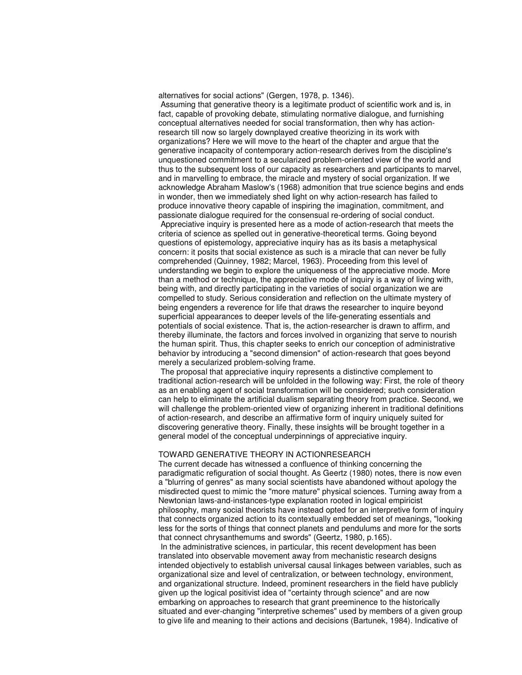alternatives for social actions" (Gergen, 1978, p. 1346).

 Assuming that generative theory is a legitimate product of scientific work and is, in fact, capable of provoking debate, stimulating normative dialogue, and furnishing conceptual alternatives needed for social transformation, then why has actionresearch till now so largely downplayed creative theorizing in its work with organizations? Here we will move to the heart of the chapter and argue that the generative incapacity of contemporary action-research derives from the discipline's unquestioned commitment to a secularized problem-oriented view of the world and thus to the subsequent loss of our capacity as researchers and participants to marvel, and in marvelling to embrace, the miracle and mystery of social organization. If we acknowledge Abraham Maslow's (1968) admonition that true science begins and ends in wonder, then we immediately shed light on why action-research has failed to produce innovative theory capable of inspiring the imagination, commitment, and passionate dialogue required for the consensual re-ordering of social conduct. Appreciative inquiry is presented here as a mode of action-research that meets the criteria of science as spelled out in generative-theoretical terms. Going beyond questions of epistemology, appreciative inquiry has as its basis a metaphysical concern: it posits that social existence as such is a miracle that can never be fully comprehended (Quinney, 1982; Marcel, 1963). Proceeding from this level of understanding we begin to explore the uniqueness of the appreciative mode. More than a method or technique, the appreciative mode of inquiry is a way of living with, being with, and directly participating in the varieties of social organization we are compelled to study. Serious consideration and reflection on the ultimate mystery of being engenders a reverence for life that draws the researcher to inquire beyond superficial appearances to deeper levels of the life-generating essentials and potentials of social existence. That is, the action-researcher is drawn to affirm, and thereby illuminate, the factors and forces involved in organizing that serve to nourish the human spirit. Thus, this chapter seeks to enrich our conception of administrative behavior by introducing a "second dimension" of action-research that goes beyond merely a secularized problem-solving frame.

 The proposal that appreciative inquiry represents a distinctive complement to traditional action-research will be unfolded in the following way: First, the role of theory as an enabling agent of social transformation will be considered; such consideration can help to eliminate the artificial dualism separating theory from practice. Second, we will challenge the problem-oriented view of organizing inherent in traditional definitions of action-research, and describe an affirmative form of inquiry uniquely suited for discovering generative theory. Finally, these insights will be brought together in a general model of the conceptual underpinnings of appreciative inquiry.

## TOWARD GENERATIVE THEORY IN ACTIONRESEARCH

The current decade has witnessed a confluence of thinking concerning the paradigmatic refiguration of social thought. As Geertz (1980) notes, there is now even a "blurring of genres" as many social scientists have abandoned without apology the misdirected quest to mimic the "more mature" physical sciences. Turning away from a Newtonian laws-and-instances-type explanation rooted in logical empiricist philosophy, many social theorists have instead opted for an interpretive form of inquiry that connects organized action to its contextually embedded set of meanings, "looking less for the sorts of things that connect planets and pendulums and more for the sorts that connect chrysanthemums and swords" (Geertz, 1980, p.165).

 In the administrative sciences, in particular, this recent development has been translated into observable movement away from mechanistic research designs intended objectively to establish universal causal linkages between variables, such as organizational size and level of centralization, or between technology, environment, and organizational structure. Indeed, prominent researchers in the field have publicly given up the logical positivist idea of "certainty through science" and are now embarking on approaches to research that grant preeminence to the historically situated and ever-changing "interpretive schemes" used by members of a given group to give life and meaning to their actions and decisions (Bartunek, 1984). Indicative of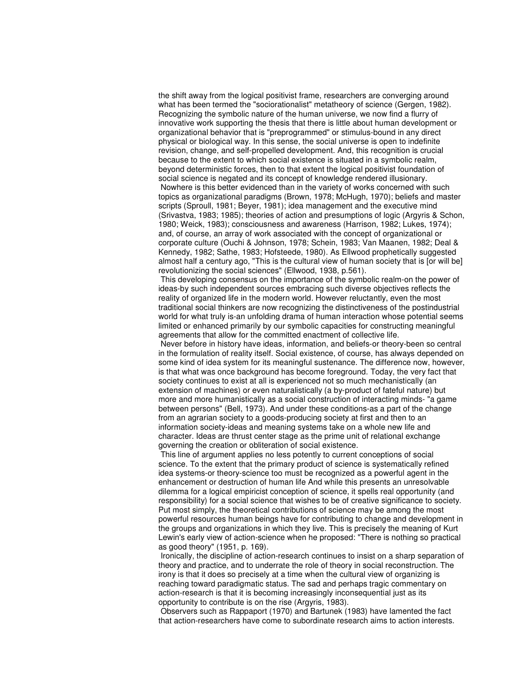the shift away from the logical positivist frame, researchers are converging around what has been termed the "sociorationalist" metatheory of science (Gergen, 1982). Recognizing the symbolic nature of the human universe, we now find a flurry of innovative work supporting the thesis that there is little about human development or organizational behavior that is "preprogrammed" or stimulus-bound in any direct physical or biological way. In this sense, the social universe is open to indefinite revision, change, and self-propelled development. And, this recognition is crucial because to the extent to which social existence is situated in a symbolic realm, beyond deterministic forces, then to that extent the logical positivist foundation of social science is negated and its concept of knowledge rendered illusionary. Nowhere is this better evidenced than in the variety of works concerned with such topics as organizational paradigms (Brown, 1978; McHugh, 1970); beliefs and master scripts (Sproull, 1981; Beyer, 1981); idea management and the executive mind (Srivastva, 1983; 1985); theories of action and presumptions of logic (Argyris & Schon, 1980; Weick, 1983); consciousness and awareness (Harrison, 1982; Lukes, 1974); and, of course, an array of work associated with the concept of organizational or corporate culture (Ouchi & Johnson, 1978; Schein, 1983; Van Maanen, 1982; Deal & Kennedy, 1982; Sathe, 1983; Hofsteede, 1980). As Ellwood prophetically suggested almost half a century ago, "This is the cultural view of human society that is [or will be] revolutionizing the social sciences" (Ellwood, 1938, p.561).

 This developing consensus on the importance of the symbolic realm-on the power of ideas-by such independent sources embracing such diverse objectives reflects the reality of organized life in the modern world. However reluctantly, even the most traditional social thinkers are now recognizing the distinctiveness of the postindustrial world for what truly is-an unfolding drama of human interaction whose potential seems limited or enhanced primarily by our symbolic capacities for constructing meaningful agreements that allow for the committed enactment of collective life.

 Never before in history have ideas, information, and beliefs-or theory-been so central in the formulation of reality itself. Social existence, of course, has always depended on some kind of idea system for its meaningful sustenance. The difference now, however, is that what was once background has become foreground. Today, the very fact that society continues to exist at all is experienced not so much mechanistically (an extension of machines) or even naturalistically (a by-product of fateful nature) but more and more humanistically as a social construction of interacting minds- "a game between persons" (Bell, 1973). And under these conditions-as a part of the change from an agrarian society to a goods-producing society at first and then to an information society-ideas and meaning systems take on a whole new life and character. Ideas are thrust center stage as the prime unit of relational exchange governing the creation or obliteration of social existence.

 This line of argument applies no less potently to current conceptions of social science. To the extent that the primary product of science is systematically refined idea systems-or theory-science too must be recognized as a powerful agent in the enhancement or destruction of human life And while this presents an unresolvable dilemma for a logical empiricist conception of science, it spells real opportunity (and responsibility) for a social science that wishes to be of creative significance to society. Put most simply, the theoretical contributions of science may be among the most powerful resources human beings have for contributing to change and development in the groups and organizations in which they live. This is precisely the meaning of Kurt Lewin's early view of action-science when he proposed: "There is nothing so practical as good theory" (1951, p. 169).

 Ironically, the discipline of action-research continues to insist on a sharp separation of theory and practice, and to underrate the role of theory in social reconstruction. The irony is that it does so precisely at a time when the cultural view of organizing is reaching toward paradigmatic status. The sad and perhaps tragic commentary on action-research is that it is becoming increasingly inconsequential just as its opportunity to contribute is on the rise (Argyris, 1983).

 Observers such as Rappaport (1970) and Bartunek (1983) have lamented the fact that action-researchers have come to subordinate research aims to action interests.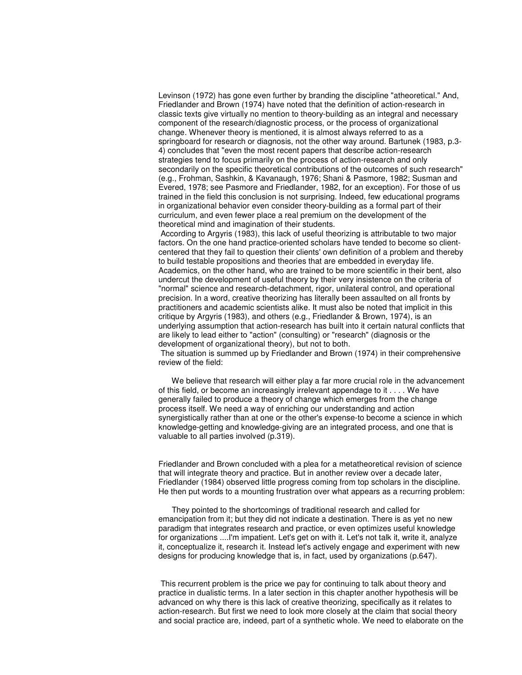Levinson (1972) has gone even further by branding the discipline "atheoretical." And, Friedlander and Brown (1974) have noted that the definition of action-research in classic texts give virtually no mention to theory-building as an integral and necessary component of the research/diagnostic process, or the process of organizational change. Whenever theory is mentioned, it is almost always referred to as a springboard for research or diagnosis, not the other way around. Bartunek (1983, p.3- 4) concludes that "even the most recent papers that describe action-research strategies tend to focus primarily on the process of action-research and only secondarily on the specific theoretical contributions of the outcomes of such research" (e.g., Frohman, Sashkin, & Kavanaugh, 1976; Shani & Pasmore, 1982; Susman and Evered, 1978; see Pasmore and Friedlander, 1982, for an exception). For those of us trained in the field this conclusion is not surprising. Indeed, few educational programs in organizational behavior even consider theory-building as a formal part of their curriculum, and even fewer place a real premium on the development of the theoretical mind and imagination of their students.

 According to Argyris (1983), this lack of useful theorizing is attributable to two major factors. On the one hand practice-oriented scholars have tended to become so clientcentered that they fail to question their clients' own definition of a problem and thereby to build testable propositions and theories that are embedded in everyday life. Academics, on the other hand, who are trained to be more scientific in their bent, also undercut the development of useful theory by their very insistence on the criteria of "normal" science and research-detachment, rigor, unilateral control, and operational precision. In a word, creative theorizing has literally been assaulted on all fronts by practitioners and academic scientists alike. It must also be noted that implicit in this critique by Argyris (1983), and others (e.g., Friedlander & Brown, 1974), is an underlying assumption that action-research has built into it certain natural conflicts that are likely to lead either to "action" (consulting) or "research" (diagnosis or the development of organizational theory), but not to both.

 The situation is summed up by Friedlander and Brown (1974) in their comprehensive review of the field:

 We believe that research will either play a far more crucial role in the advancement of this field, or become an increasingly irrelevant appendage to it . . . . We have generally failed to produce a theory of change which emerges from the change process itself. We need a way of enriching our understanding and action synergistically rather than at one or the other's expense-to become a science in which knowledge-getting and knowledge-giving are an integrated process, and one that is valuable to all parties involved (p.319).

Friedlander and Brown concluded with a plea for a metatheoretical revision of science that will integrate theory and practice. But in another review over a decade later, Friedlander (1984) observed little progress coming from top scholars in the discipline. He then put words to a mounting frustration over what appears as a recurring problem:

 They pointed to the shortcomings of traditional research and called for emancipation from it; but they did not indicate a destination. There is as yet no new paradigm that integrates research and practice, or even optimizes useful knowledge for organizations ....I'm impatient. Let's get on with it. Let's not talk it, write it, analyze it, conceptualize it, research it. Instead let's actively engage and experiment with new designs for producing knowledge that is, in fact, used by organizations (p.647).

 This recurrent problem is the price we pay for continuing to talk about theory and practice in dualistic terms. In a later section in this chapter another hypothesis will be advanced on why there is this lack of creative theorizing, specifically as it relates to action-research. But first we need to look more closely at the claim that social theory and social practice are, indeed, part of a synthetic whole. We need to elaborate on the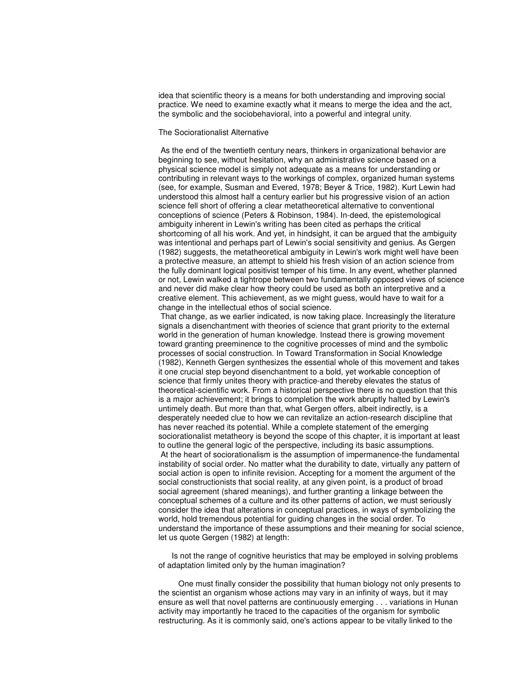idea that scientific theory is a means for both understanding and improving social practice. We need to examine exactly what it means to merge the idea and the act, the symbolic and the sociobehavioral, into a powerful and integral unity.

#### The Sociorationalist Alternative

 As the end of the twentieth century nears, thinkers in organizational behavior are beginning to see, without hesitation, why an administrative science based on a physical science model is simply not adequate as a means for understanding or contributing in relevant ways to the workings of complex, organized human systems (see, for example, Susman and Evered, 1978; Beyer & Trice, 1982). Kurt Lewin had understood this almost half a century earlier but his progressive vision of an action science fell short of offering a clear metatheoretical alternative to conventional conceptions of science (Peters & Robinson, 1984). In-deed, the epistemological ambiguity inherent in Lewin's writing has been cited as perhaps the critical shortcoming of all his work. And yet, in hindsight, it can be argued that the ambiguity was intentional and perhaps part of Lewin's social sensitivity and genius. As Gergen (1982) suggests, the metatheoretical ambiguity in Lewin's work might well have been a protective measure, an attempt to shield his fresh vision of an action science from the fully dominant logical positivist temper of his time. In any event, whether planned or not, Lewin walked a tightrope between two fundamentally opposed views of science and never did make clear how theory could be used as both an interpretive and a creative element. This achievement, as we might guess, would have to wait for a change in the intellectual ethos of social science.

 That change, as we earlier indicated, is now taking place. Increasingly the literature signals a disenchantment with theories of science that grant priority to the external world in the generation of human knowledge. Instead there is growing movement toward granting preeminence to the cognitive processes of mind and the symbolic processes of social construction. In Toward Transformation in Social Knowledge (1982), Kenneth Gergen synthesizes the essential whole of this movement and takes it one crucial step beyond disenchantment to a bold, yet workable conception of science that firmly unites theory with practice-and thereby elevates the status of theoretical-scientific work. From a historical perspective there is no question that this is a major achievement; it brings to completion the work abruptly halted by Lewin's untimely death. But more than that, what Gergen offers, albeit indirectly, is a desperately needed clue to how we can revitalize an action-research discipline that has never reached its potential. While a complete statement of the emerging sociorationalist metatheory is beyond the scope of this chapter, it is important at least to outline the general logic of the perspective, including its basic assumptions. At the heart of sociorationalism is the assumption of impermanence-the fundamental instability of social order. No matter what the durability to date, virtually any pattern of social action is open to infinite revision. Accepting for a moment the argument of the social constructionists that social reality, at any given point, is a product of broad social agreement (shared meanings), and further granting a linkage between the conceptual schemes of a culture and its other patterns of action, we must seriously consider the idea that alterations in conceptual practices, in ways of symbolizing the world, hold tremendous potential for guiding changes in the social order. To understand the importance of these assumptions and their meaning for social science, let us quote Gergen (1982) at length:

 Is not the range of cognitive heuristics that may be employed in solving problems of adaptation limited only by the human imagination?

 One must finally consider the possibility that human biology not only presents to the scientist an organism whose actions may vary in an infinity of ways, but it may ensure as well that novel patterns are continuously emerging . . . variations in Hunan activity may importantly he traced to the capacities of the organism for symbolic restructuring. As it is commonly said, one's actions appear to be vitally linked to the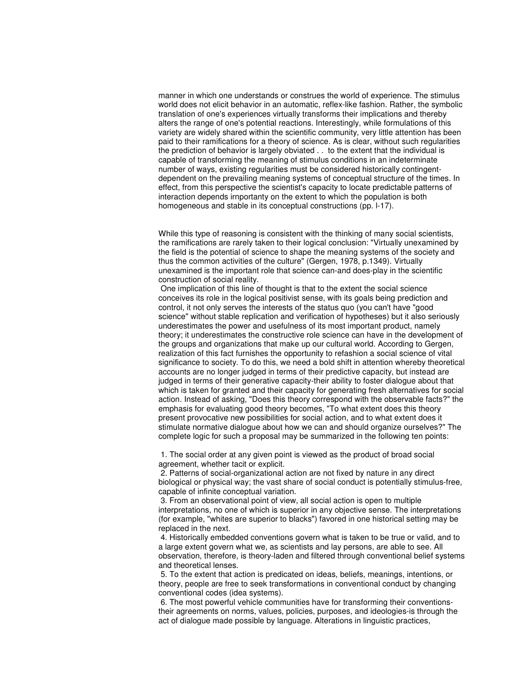manner in which one understands or construes the world of experience. The stimulus world does not elicit behavior in an automatic, reflex-like fashion. Rather, the symbolic translation of one's experiences virtually transforms their implications and thereby alters the range of one's potential reactions. Interestingly, while formulations of this variety are widely shared within the scientific community, very little attention has been paid to their ramifications for a theory of science. As is clear, without such regularities the prediction of behavior is largely obviated . . to the extent that the individual is capable of transforming the meaning of stimulus conditions in an indeterminate number of ways, existing regularities must be considered historically contingentdependent on the prevailing meaning systems of conceptual structure of the times. In effect, from this perspective the scientist's capacity to locate predictable patterns of interaction depends irnportanty on the extent to which the population is both homogeneous and stable in its conceptual constructions (pp. l-17).

While this type of reasoning is consistent with the thinking of many social scientists, the ramifications are rarely taken to their logical conclusion: "Virtually unexamined by the field is the potential of science to shape the meaning systems of the society and thus the common activities of the culture" (Gergen, 1978, p.1349). Virtually unexamined is the important role that science can-and does-play in the scientific construction of social reality.

 One implication of this line of thought is that to the extent the social science conceives its role in the logical positivist sense, with its goals being prediction and control, it not only serves the interests of the status quo (you can't have "good science" without stable replication and verification of hypotheses) but it also seriously underestimates the power and usefulness of its most important product, namely theory; it underestimates the constructive role science can have in the development of the groups and organizations that make up our cultural world. According to Gergen, realization of this fact furnishes the opportunity to refashion a social science of vital significance to society. To do this, we need a bold shift in attention whereby theoretical accounts are no longer judged in terms of their predictive capacity, but instead are judged in terms of their generative capacity-their ability to foster dialogue about that which is taken for granted and their capacity for generating fresh alternatives for social action. Instead of asking, "Does this theory correspond with the observable facts?" the emphasis for evaluating good theory becomes, "To what extent does this theory present provocative new possibilities for social action, and to what extent does it stimulate normative dialogue about how we can and should organize ourselves?" The complete logic for such a proposal may be summarized in the following ten points:

 1. The social order at any given point is viewed as the product of broad social agreement, whether tacit or explicit.

 2. Patterns of social-organizational action are not fixed by nature in any direct biological or physical way; the vast share of social conduct is potentially stimulus-free, capable of infinite conceptual variation.

 3. From an observational point of view, all social action is open to multiple interpretations, no one of which is superior in any objective sense. The interpretations (for example, "whites are superior to blacks") favored in one historical setting may be replaced in the next.

 4. Historically embedded conventions govern what is taken to be true or valid, and to a large extent govern what we, as scientists and lay persons, are able to see. All observation, therefore, is theory-laden and filtered through conventional belief systems and theoretical lenses.

 5. To the extent that action is predicated on ideas, beliefs, meanings, intentions, or theory, people are free to seek transformations in conventional conduct by changing conventional codes (idea systems).

 6. The most powerful vehicle communities have for transforming their conventionstheir agreements on norms, values, policies, purposes, and ideologies-is through the act of dialogue made possible by language. Alterations in linguistic practices,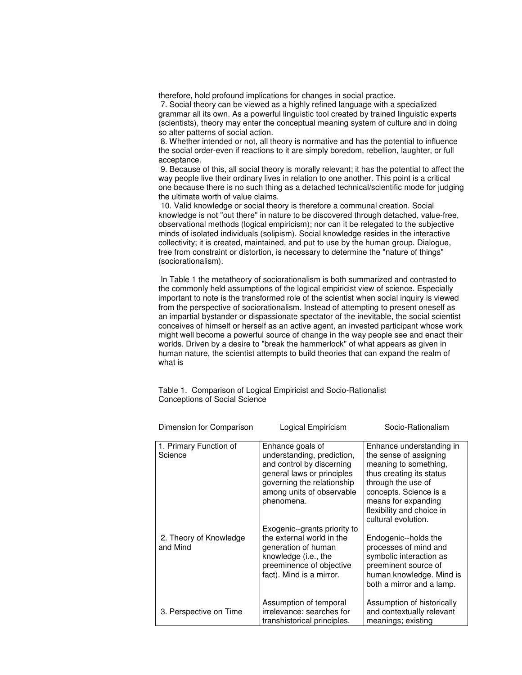therefore, hold profound implications for changes in social practice.

 7. Social theory can be viewed as a highly refined language with a specialized grammar all its own. As a powerful linguistic tool created by trained linguistic experts (scientists), theory may enter the conceptual meaning system of culture and in doing so alter patterns of social action.

 8. Whether intended or not, all theory is normative and has the potential to influence the social order-even if reactions to it are simply boredom, rebellion, laughter, or full acceptance.

 9. Because of this, all social theory is morally relevant; it has the potential to affect the way people live their ordinary lives in relation to one another. This point is a critical one because there is no such thing as a detached technical/scientific mode for judging the ultimate worth of value claims.

 10. Valid knowledge or social theory is therefore a communal creation. Social knowledge is not "out there" in nature to be discovered through detached, value-free, observational methods (logical empiricism); nor can it be relegated to the subjective minds of isolated individuals (solipism). Social knowledge resides in the interactive collectivity; it is created, maintained, and put to use by the human group. Dialogue, free from constraint or distortion, is necessary to determine the "nature of things" (sociorationalism).

 In Table 1 the metatheory of sociorationalism is both summarized and contrasted to the commonly held assumptions of the logical empiricist view of science. Especially important to note is the transformed role of the scientist when social inquiry is viewed from the perspective of sociorationalism. Instead of attempting to present oneself as an impartial bystander or dispassionate spectator of the inevitable, the social scientist conceives of himself or herself as an active agent, an invested participant whose work might well become a powerful source of change in the way people see and enact their worlds. Driven by a desire to "break the hammerlock" of what appears as given in human nature, the scientist attempts to build theories that can expand the realm of what is

Table 1. Comparison of Logical Empiricist and Socio-Rationalist Conceptions of Social Science

| Dimension for Comparison           | Logical Empiricism                                                                                                                                                                 | Socio-Rationalism                                                                                                                                                                                                                  |
|------------------------------------|------------------------------------------------------------------------------------------------------------------------------------------------------------------------------------|------------------------------------------------------------------------------------------------------------------------------------------------------------------------------------------------------------------------------------|
| 1. Primary Function of<br>Science  | Enhance goals of<br>understanding, prediction,<br>and control by discerning<br>general laws or principles<br>governing the relationship<br>among units of observable<br>phenomena. | Enhance understanding in<br>the sense of assigning<br>meaning to something,<br>thus creating its status<br>through the use of<br>concepts. Science is a<br>means for expanding<br>flexibility and choice in<br>cultural evolution. |
| 2. Theory of Knowledge<br>and Mind | Exogenic--grants priority to<br>the external world in the<br>generation of human<br>knowledge (i.e., the<br>preeminence of objective<br>fact). Mind is a mirror.                   | Endogenic--holds the<br>processes of mind and<br>symbolic interaction as<br>preeminent source of<br>human knowledge. Mind is<br>both a mirror and a lamp.                                                                          |
| 3. Perspective on Time             | Assumption of temporal<br>irrelevance: searches for<br>transhistorical principles.                                                                                                 | Assumption of historically<br>and contextually relevant<br>meanings; existing                                                                                                                                                      |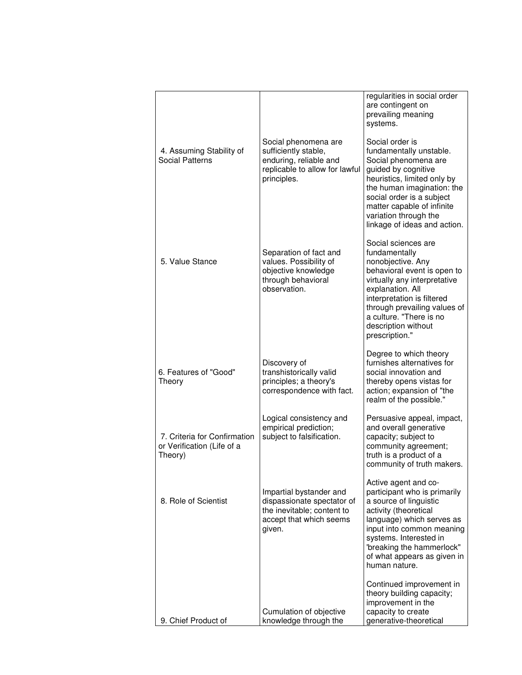|                                                                       |                                                                                                                          | regularities in social order<br>are contingent on<br>prevailing meaning<br>systems.                                                                                                                                                                                            |  |
|-----------------------------------------------------------------------|--------------------------------------------------------------------------------------------------------------------------|--------------------------------------------------------------------------------------------------------------------------------------------------------------------------------------------------------------------------------------------------------------------------------|--|
| 4. Assuming Stability of<br>Social Patterns                           | Social phenomena are<br>sufficiently stable,<br>enduring, reliable and<br>replicable to allow for lawful<br>principles.  | Social order is<br>fundamentally unstable.<br>Social phenomena are<br>guided by cognitive<br>heuristics, limited only by<br>the human imagination: the<br>social order is a subject<br>matter capable of infinite<br>variation through the<br>linkage of ideas and action.     |  |
| 5. Value Stance                                                       | Separation of fact and<br>values. Possibility of<br>objective knowledge<br>through behavioral<br>observation.            | Social sciences are<br>fundamentally<br>nonobjective. Any<br>behavioral event is open to<br>virtually any interpretative<br>explanation. All<br>interpretation is filtered<br>through prevailing values of<br>a culture. "There is no<br>description without<br>prescription." |  |
| 6. Features of "Good"<br>Theory                                       | Discovery of<br>transhistorically valid<br>principles; a theory's<br>correspondence with fact.                           | Degree to which theory<br>furnishes alternatives for<br>social innovation and<br>thereby opens vistas for<br>action; expansion of "the<br>realm of the possible."                                                                                                              |  |
| 7. Criteria for Confirmation<br>or Verification (Life of a<br>Theory) | Logical consistency and<br>empirical prediction;<br>subject to falsification.                                            | Persuasive appeal, impact,<br>and overall generative<br>capacity; subject to<br>community agreement;<br>truth is a product of a<br>community of truth makers.                                                                                                                  |  |
| 8. Role of Scientist                                                  | Impartial bystander and<br>dispassionate spectator of<br>the inevitable; content to<br>accept that which seems<br>given. | Active agent and co-<br>participant who is primarily<br>a source of linguistic<br>activity (theoretical<br>language) which serves as<br>input into common meaning<br>systems. Interested in<br>'breaking the hammerlock"<br>of what appears as given in<br>human nature.       |  |
|                                                                       | Cumulation of objective                                                                                                  | Continued improvement in<br>theory building capacity;<br>improvement in the<br>capacity to create                                                                                                                                                                              |  |
| 9. Chief Product of                                                   | knowledge through the                                                                                                    | generative-theoretical                                                                                                                                                                                                                                                         |  |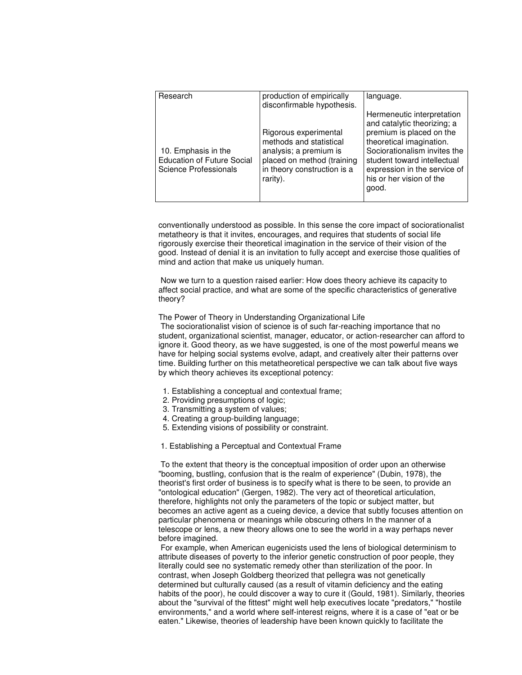| Research                                                                          | production of empirically<br>disconfirmable hypothesis.                                                                                             | language.                                                                                                                                                                                |
|-----------------------------------------------------------------------------------|-----------------------------------------------------------------------------------------------------------------------------------------------------|------------------------------------------------------------------------------------------------------------------------------------------------------------------------------------------|
|                                                                                   |                                                                                                                                                     | Hermeneutic interpretation<br>and catalytic theorizing; a                                                                                                                                |
| 10. Emphasis in the<br><b>Education of Future Social</b><br>Science Professionals | Rigorous experimental<br>methods and statistical<br>analysis; a premium is<br>placed on method (training<br>in theory construction is a<br>rarity). | premium is placed on the<br>theoretical imagination.<br>Sociorationalism invites the<br>student toward intellectual<br>expression in the service of<br>his or her vision of the<br>good. |

conventionally understood as possible. In this sense the core impact of sociorationalist metatheory is that it invites, encourages, and requires that students of social life rigorously exercise their theoretical imagination in the service of their vision of the good. Instead of denial it is an invitation to fully accept and exercise those qualities of mind and action that make us uniquely human.

 Now we turn to a question raised earlier: How does theory achieve its capacity to affect social practice, and what are some of the specific characteristics of generative theory?

The Power of Theory in Understanding Organizational Life

 The sociorationalist vision of science is of such far-reaching importance that no student, organizational scientist, manager, educator, or action-researcher can afford to ignore it. Good theory, as we have suggested, is one of the most powerful means we have for helping social systems evolve, adapt, and creatively alter their patterns over time. Building further on this metatheoretical perspective we can talk about five ways by which theory achieves its exceptional potency:

- 1. Establishing a conceptual and contextual frame;
- 2. Providing presumptions of logic;
- 3. Transmitting a system of values;
- 4. Creating a group-building language;
- 5. Extending visions of possibility or constraint.

1. Establishing a Perceptual and Contextual Frame

 To the extent that theory is the conceptual imposition of order upon an otherwise "booming, bustling, confusion that is the realm of experience" (Dubin, 1978), the theorist's first order of business is to specify what is there to be seen, to provide an "ontological education" (Gergen, 1982). The very act of theoretical articulation, therefore, highlights not only the parameters of the topic or subject matter, but becomes an active agent as a cueing device, a device that subtly focuses attention on particular phenomena or meanings while obscuring others In the manner of a telescope or lens, a new theory allows one to see the world in a way perhaps never before imagined.

 For example, when American eugenicists used the lens of biological determinism to attribute diseases of poverty to the inferior genetic construction of poor people, they literally could see no systematic remedy other than sterilization of the poor. In contrast, when Joseph Goldberg theorized that pellegra was not genetically determined but culturally caused (as a result of vitamin deficiency and the eating habits of the poor), he could discover a way to cure it (Gould, 1981). Similarly, theories about the "survival of the fittest" might well help executives locate "predators," "hostile environments," and a world where self-interest reigns, where it is a case of "eat or be eaten." Likewise, theories of leadership have been known quickly to facilitate the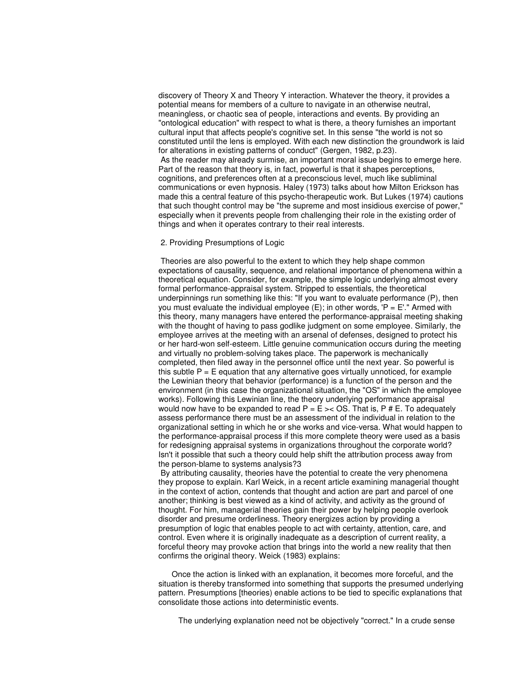discovery of Theory X and Theory Y interaction. Whatever the theory, it provides a potential means for members of a culture to navigate in an otherwise neutral, meaningless, or chaotic sea of people, interactions and events. By providing an "ontological education" with respect to what is there, a theory furnishes an important cultural input that affects people's cognitive set. In this sense "the world is not so constituted until the lens is employed. With each new distinction the groundwork is laid for alterations in existing patterns of conduct" (Gergen, 1982, p.23).

 As the reader may already surmise, an important moral issue begins to emerge here. Part of the reason that theory is, in fact, powerful is that it shapes perceptions, cognitions, and preferences often at a preconscious level, much like subliminal communications or even hypnosis. Haley (1973) talks about how Milton Erickson has made this a central feature of this psycho-therapeutic work. But Lukes (1974) cautions that such thought control may be "the supreme and most insidious exercise of power," especially when it prevents people from challenging their role in the existing order of things and when it operates contrary to their real interests.

## 2. Providing Presumptions of Logic

 Theories are also powerful to the extent to which they help shape common expectations of causality, sequence, and relational importance of phenomena within a theoretical equation. Consider, for example, the simple logic underlying almost every formal performance-appraisal system. Stripped to essentials, the theoretical underpinnings run something like this: "If you want to evaluate performance (P), then you must evaluate the individual employee (E); in other words,  $P = E$ ." Armed with this theory, many managers have entered the performance-appraisal meeting shaking with the thought of having to pass godlike judgment on some employee. Similarly, the employee arrives at the meeting with an arsenal of defenses, designed to protect his or her hard-won self-esteem. Little genuine communication occurs during the meeting and virtually no problem-solving takes place. The paperwork is mechanically completed, then filed away in the personnel office until the next year. So powerful is this subtle  $P = E$  equation that any alternative goes virtually unnoticed, for example the Lewinian theory that behavior (performance) is a function of the person and the environment (in this case the organizational situation, the "OS" in which the employee works). Following this Lewinian line, the theory underlying performance appraisal would now have to be expanded to read  $P = E \ll OS$ . That is, P # E. To adequately assess performance there must be an assessment of the individual in relation to the organizational setting in which he or she works and vice-versa. What would happen to the performance-appraisal process if this more complete theory were used as a basis for redesigning appraisal systems in organizations throughout the corporate world? Isn't it possible that such a theory could help shift the attribution process away from the person-blame to systems analysis?3

 By attributing causality, theories have the potential to create the very phenomena they propose to explain. Karl Weick, in a recent article examining managerial thought in the context of action, contends that thought and action are part and parcel of one another; thinking is best viewed as a kind of activity, and activity as the ground of thought. For him, managerial theories gain their power by helping people overlook disorder and presume orderliness. Theory energizes action by providing a presumption of logic that enables people to act with certainty, attention, care, and control. Even where it is originally inadequate as a description of current reality, a forceful theory may provoke action that brings into the world a new reality that then confirms the original theory. Weick (1983) explains:

 Once the action is linked with an explanation, it becomes more forceful, and the situation is thereby transformed into something that supports the presumed underlying pattern. Presumptions [theories) enable actions to be tied to specific explanations that consolidate those actions into deterministic events.

The underlying explanation need not be objectively "correct." In a crude sense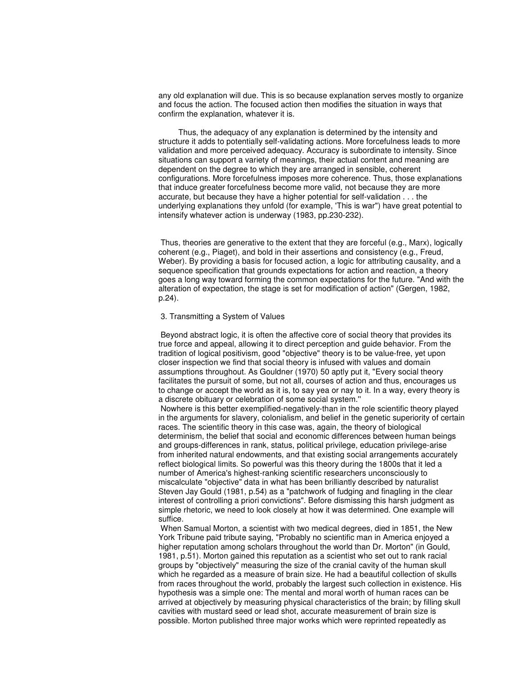any old explanation will due. This is so because explanation serves mostly to organize and focus the action. The focused action then modifies the situation in ways that confirm the explanation, whatever it is.

 Thus, the adequacy of any explanation is determined by the intensity and structure it adds to potentially self-validating actions. More forcefulness leads to more validation and more perceived adequacy. Accuracy is subordinate to intensity. Since situations can support a variety of meanings, their actual content and meaning are dependent on the degree to which they are arranged in sensible, coherent configurations. More forcefulness imposes more coherence. Thus, those explanations that induce greater forcefulness become more valid, not because they are more accurate, but because they have a higher potential for self-validation . . . the underlying explanations they unfold (for example, 'This is war") have great potential to intensify whatever action is underway (1983, pp.230-232).

 Thus, theories are generative to the extent that they are forceful (e.g., Marx), logically coherent (e.g., Piaget), and bold in their assertions and consistency (e.g., Freud, Weber). By providing a basis for focused action, a logic for attributing causality, and a sequence specification that grounds expectations for action and reaction, a theory goes a long way toward forming the common expectations for the future. "And with the alteration of expectation, the stage is set for modification of action" (Gergen, 1982, p.24).

#### 3. Transmitting a System of Values

 Beyond abstract logic, it is often the affective core of social theory that provides its true force and appeal, allowing it to direct perception and guide behavior. From the tradition of logical positivism, good "objective" theory is to be value-free, yet upon closer inspection we find that social theory is infused with values and domain assumptions throughout. As Gouldner (1970) 50 aptly put it, "Every social theory facilitates the pursuit of some, but not all, courses of action and thus, encourages us to change or accept the world as it is, to say yea or nay to it. In a way, every theory is a discrete obituary or celebration of some social system.''

 Nowhere is this better exemplified-negatively-than in the role scientific theory played in the arguments for slavery, colonialism, and belief in the genetic superiority of certain races. The scientific theory in this case was, again, the theory of biological determinism, the belief that social and economic differences between human beings and groups-differences in rank, status, political privilege, education privilege-arise from inherited natural endowments, and that existing social arrangements accurately reflect biological limits. So powerful was this theory during the 1800s that it led a number of America's highest-ranking scientific researchers unconsciously to miscalculate "objective" data in what has been brilliantly described by naturalist Steven Jay Gould (1981, p.54) as a "patchwork of fudging and finagling in the clear interest of controlling a priori convictions". Before dismissing this harsh judgment as simple rhetoric, we need to look closely at how it was determined. One example will suffice.

 When Samual Morton, a scientist with two medical degrees, died in 1851, the New York Tribune paid tribute saying, "Probably no scientific man in America enjoyed a higher reputation among scholars throughout the world than Dr. Morton" (in Gould, 1981, p.51). Morton gained this reputation as a scientist who set out to rank racial groups by "objectively" measuring the size of the cranial cavity of the human skull which he regarded as a measure of brain size. He had a beautiful collection of skulls from races throughout the world, probably the largest such collection in existence. His hypothesis was a simple one: The mental and moral worth of human races can be arrived at objectively by measuring physical characteristics of the brain; by filling skull cavities with mustard seed or lead shot, accurate measurement of brain size is possible. Morton published three major works which were reprinted repeatedly as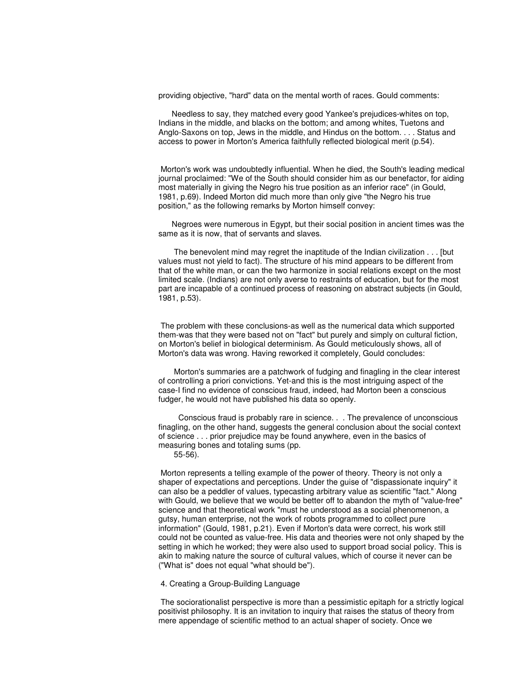providing objective, "hard" data on the mental worth of races. Gould comments:

 Needless to say, they matched every good Yankee's prejudices-whites on top, Indians in the middle, and blacks on the bottom; and among whites, Tuetons and Anglo-Saxons on top, Jews in the middle, and Hindus on the bottom. . . . Status and access to power in Morton's America faithfully reflected biological merit (p.54).

 Morton's work was undoubtedly influential. When he died, the South's leading medical journal proclaimed: "We of the South should consider him as our benefactor, for aiding most materially in giving the Negro his true position as an inferior race" (in Gould, 1981, p.69). Indeed Morton did much more than only give "the Negro his true position," as the following remarks by Morton himself convey:

 Negroes were numerous in Egypt, but their social position in ancient times was the same as it is now, that of servants and slaves.

 The benevolent mind may regret the inaptitude of the Indian civilization . . . [but values must not yield to fact). The structure of his mind appears to be different from that of the white man, or can the two harmonize in social relations except on the most limited scale. (Indians) are not only averse to restraints of education, but for the most part are incapable of a continued process of reasoning on abstract subjects (in Gould, 1981, p.53).

 The problem with these conclusions-as well as the numerical data which supported them-was that they were based not on "fact" but purely and simply on cultural fiction, on Morton's belief in biological determinism. As Gould meticulously shows, all of Morton's data was wrong. Having reworked it completely, Gould concludes:

 Morton's summaries are a patchwork of fudging and finagling in the clear interest of controlling a priori convictions. Yet-and this is the most intriguing aspect of the case-I find no evidence of conscious fraud, indeed, had Morton been a conscious fudger, he would not have published his data so openly.

 Conscious fraud is probably rare in science. . . The prevalence of unconscious finagling, on the other hand, suggests the general conclusion about the social context of science . . . prior prejudice may be found anywhere, even in the basics of measuring bones and totaling sums (pp.

55-56).

 Morton represents a telling example of the power of theory. Theory is not only a shaper of expectations and perceptions. Under the guise of "dispassionate inquiry" it can also be a peddler of values, typecasting arbitrary value as scientific "fact." Along with Gould, we believe that we would be better off to abandon the myth of "value-free" science and that theoretical work "must he understood as a social phenomenon, a gutsy, human enterprise, not the work of robots programmed to collect pure information" (Gould, 1981, p.21). Even if Morton's data were correct, his work still could not be counted as value-free. His data and theories were not only shaped by the setting in which he worked; they were also used to support broad social policy. This is akin to making nature the source of cultural values, which of course it never can be ("What is" does not equal "what should be").

4. Creating a Group-Building Language

 The sociorationalist perspective is more than a pessimistic epitaph for a strictly logical positivist philosophy. It is an invitation to inquiry that raises the status of theory from mere appendage of scientific method to an actual shaper of society. Once we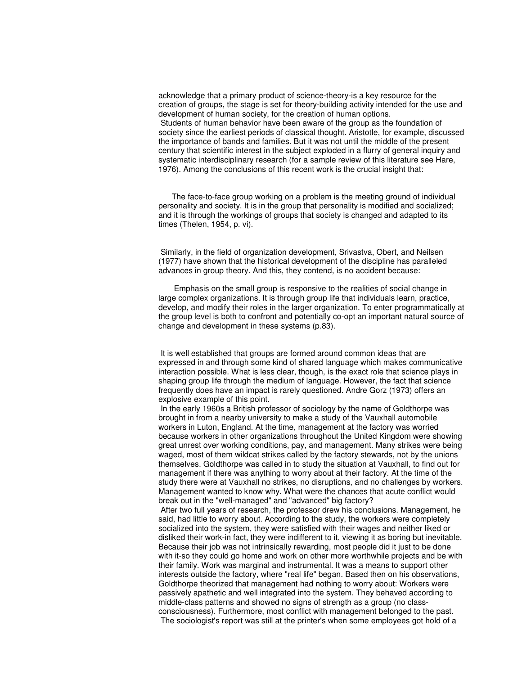acknowledge that a primary product of science-theory-is a key resource for the creation of groups, the stage is set for theory-building activity intended for the use and development of human society, for the creation of human options. Students of human behavior have been aware of the group as the foundation of society since the earliest periods of classical thought. Aristotle, for example, discussed the importance of bands and families. But it was not until the middle of the present century that scientific interest in the subject exploded in a flurry of general inquiry and systematic interdisciplinary research (for a sample review of this literature see Hare, 1976). Among the conclusions of this recent work is the crucial insight that:

 The face-to-face group working on a problem is the meeting ground of individual personality and society. It is in the group that personality is modified and socialized; and it is through the workings of groups that society is changed and adapted to its times (Thelen, 1954, p. vi).

 Similarly, in the field of organization development, Srivastva, Obert, and Neilsen (1977) have shown that the historical development of the discipline has paralleled advances in group theory. And this, they contend, is no accident because:

 Emphasis on the small group is responsive to the realities of social change in large complex organizations. It is through group life that individuals learn, practice, develop, and modify their roles in the larger organization. To enter programmatically at the group level is both to confront and potentially co-opt an important natural source of change and development in these systems (p.83).

 It is well established that groups are formed around common ideas that are expressed in and through some kind of shared language which makes communicative interaction possible. What is less clear, though, is the exact role that science plays in shaping group life through the medium of language. However, the fact that science frequently does have an impact is rarely questioned. Andre Gorz (1973) offers an explosive example of this point.

 In the early 1960s a British professor of sociology by the name of Goldthorpe was brought in from a nearby university to make a study of the Vauxhall automobile workers in Luton, England. At the time, management at the factory was worried because workers in other organizations throughout the United Kingdom were showing great unrest over working conditions, pay, and management. Many strikes were being waged, most of them wildcat strikes called by the factory stewards, not by the unions themselves. Goldthorpe was called in to study the situation at Vauxhall, to find out for management if there was anything to worry about at their factory. At the time of the study there were at Vauxhall no strikes, no disruptions, and no challenges by workers. Management wanted to know why. What were the chances that acute conflict would break out in the "well-managed" and "advanced" big factory?

 After two full years of research, the professor drew his conclusions. Management, he said, had little to worry about. According to the study, the workers were completely socialized into the system, they were satisfied with their wages and neither liked or disliked their work-in fact, they were indifferent to it, viewing it as boring but inevitable. Because their job was not intrinsically rewarding, most people did it just to be done with it-so they could go home and work on other more worthwhile projects and be with their family. Work was marginal and instrumental. It was a means to support other interests outside the factory, where "real life" began. Based then on his observations, Goldthorpe theorized that management had nothing to worry about: Workers were passively apathetic and well integrated into the system. They behaved according to middle-class patterns and showed no signs of strength as a group (no classconsciousness). Furthermore, most conflict with management belonged to the past. The sociologist's report was still at the printer's when some employees got hold of a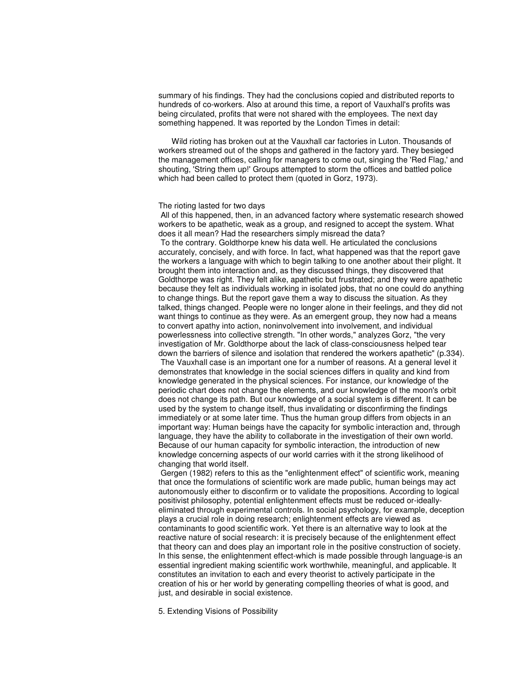summary of his findings. They had the conclusions copied and distributed reports to hundreds of co-workers. Also at around this time, a report of Vauxhall's profits was being circulated, profits that were not shared with the employees. The next day something happened. It was reported by the London Times in detail:

 Wild rioting has broken out at the Vauxhall car factories in Luton. Thousands of workers streamed out of the shops and gathered in the factory yard. They besieged the management offices, calling for managers to come out, singing the 'Red Flag,' and shouting, 'String them up!' Groups attempted to storm the offices and battled police which had been called to protect them (quoted in Gorz, 1973).

# The rioting lasted for two days

 All of this happened, then, in an advanced factory where systematic research showed workers to be apathetic, weak as a group, and resigned to accept the system. What does it all mean? Had the researchers simply misread the data? To the contrary. Goldthorpe knew his data well. He articulated the conclusions accurately, concisely, and with force. In fact, what happened was that the report gave the workers a language with which to begin talking to one another about their plight. It brought them into interaction and, as they discussed things, they discovered that Goldthorpe was right. They felt alike, apathetic but frustrated; and they were apathetic because they felt as individuals working in isolated jobs, that no one could do anything to change things. But the report gave them a way to discuss the situation. As they talked, things changed. People were no longer alone in their feelings, and they did not want things to continue as they were. As an emergent group, they now had a means to convert apathy into action, noninvolvement into involvement, and individual powerlessness into collective strength. "In other words," analyzes Gorz, "the very investigation of Mr. Goldthorpe about the lack of class-consciousness helped tear down the barriers of silence and isolation that rendered the workers apathetic" (p.334). The Vauxhall case is an important one for a number of reasons. At a general level it demonstrates that knowledge in the social sciences differs in quality and kind from knowledge generated in the physical sciences. For instance, our knowledge of the periodic chart does not change the elements, and our knowledge of the moon's orbit does not change its path. But our knowledge of a social system is different. It can be used by the system to change itself, thus invalidating or disconfirming the findings immediately or at some later time. Thus the human group differs from objects in an important way: Human beings have the capacity for symbolic interaction and, through language, they have the ability to collaborate in the investigation of their own world. Because of our human capacity for symbolic interaction, the introduction of new knowledge concerning aspects of our world carries with it the strong likelihood of changing that world itself.

 Gergen (1982) refers to this as the "enlightenment effect" of scientific work, meaning that once the formulations of scientific work are made public, human beings may act autonomously either to disconfirm or to validate the propositions. According to logical positivist philosophy, potential enlightenment effects must be reduced or-ideallyeliminated through experimental controls. In social psychology, for example, deception plays a crucial role in doing research; enlightenment effects are viewed as contaminants to good scientific work. Yet there is an alternative way to look at the reactive nature of social research: it is precisely because of the enlightenment effect that theory can and does play an important role in the positive construction of society. In this sense, the enlightenment effect-which is made possible through language-is an essential ingredient making scientific work worthwhile, meaningful, and applicable. It constitutes an invitation to each and every theorist to actively participate in the creation of his or her world by generating compelling theories of what is good, and just, and desirable in social existence.

5. Extending Visions of Possibility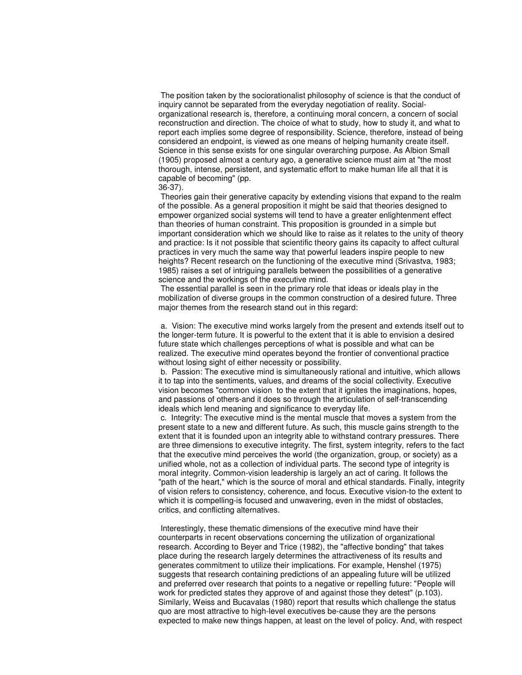The position taken by the sociorationalist philosophy of science is that the conduct of inquiry cannot be separated from the everyday negotiation of reality. Socialorganizational research is, therefore, a continuing moral concern, a concern of social reconstruction and direction. The choice of what to study, how to study it, and what to report each implies some degree of responsibility. Science, therefore, instead of being considered an endpoint, is viewed as one means of helping humanity create itself. Science in this sense exists for one singular overarching purpose. As Albion Small (1905) proposed almost a century ago, a generative science must aim at "the most thorough, intense, persistent, and systematic effort to make human life all that it is capable of becoming" (pp.

36-37).

 Theories gain their generative capacity by extending visions that expand to the realm of the possible. As a general proposition it might be said that theories designed to empower organized social systems will tend to have a greater enlightenment effect than theories of human constraint. This proposition is grounded in a simple but important consideration which we should like to raise as it relates to the unity of theory and practice: Is it not possible that scientific theory gains its capacity to affect cultural practices in very much the same way that powerful leaders inspire people to new heights? Recent research on the functioning of the executive mind (Srivastva, 1983; 1985) raises a set of intriguing parallels between the possibilities of a generative science and the workings of the executive mind.

 The essential parallel is seen in the primary role that ideas or ideals play in the mobilization of diverse groups in the common construction of a desired future. Three major themes from the research stand out in this regard:

 a. Vision: The executive mind works largely from the present and extends itself out to the longer-term future. It is powerful to the extent that it is able to envision a desired future state which challenges perceptions of what is possible and what can be realized. The executive mind operates beyond the frontier of conventional practice without losing sight of either necessity or possibility.

 b. Passion: The executive mind is simultaneously rational and intuitive, which allows it to tap into the sentiments, values, and dreams of the social collectivity. Executive vision becomes "common vision to the extent that it ignites the imaginations, hopes, and passions of others-and it does so through the articulation of self-transcending ideals which lend meaning and significance to everyday life.

 c. Integrity: The executive mind is the mental muscle that moves a system from the present state to a new and different future. As such, this muscle gains strength to the extent that it is founded upon an integrity able to withstand contrary pressures. There are three dimensions to executive integrity. The first, system integrity, refers to the fact that the executive mind perceives the world (the organization, group, or society) as a unified whole, not as a collection of individual parts. The second type of integrity is moral integrity. Common-vision leadership is largely an act of caring. It follows the "path of the heart," which is the source of moral and ethical standards. Finally, integrity of vision refers to consistency, coherence, and focus. Executive vision-to the extent to which it is compelling-is focused and unwavering, even in the midst of obstacles, critics, and conflicting alternatives.

 Interestingly, these thematic dimensions of the executive mind have their counterparts in recent observations concerning the utilization of organizational research. According to Beyer and Trice (1982), the "affective bonding" that takes place during the research largely determines the attractiveness of its results and generates commitment to utilize their implications. For example, Henshel (1975) suggests that research containing predictions of an appealing future will be utilized and preferred over research that points to a negative or repelling future: "People will work for predicted states they approve of and against those they detest" (p.103). Similarly, Weiss and Bucavalas (1980) report that results which challenge the status quo are most attractive to high-level executives be-cause they are the persons expected to make new things happen, at least on the level of policy. And, with respect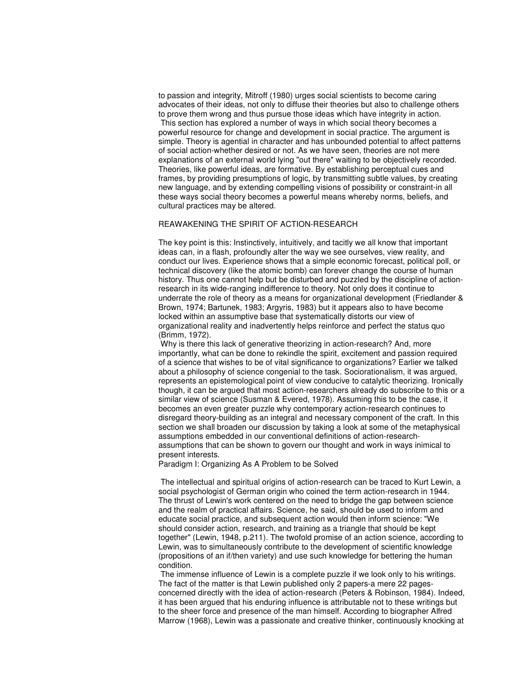to passion and integrity, Mitroff (1980) urges social scientists to become caring advocates of their ideas, not only to diffuse their theories but also to challenge others to prove them wrong and thus pursue those ideas which have integrity in action. This section has explored a number of ways in which social theory becomes a powerful resource for change and development in social practice. The argument is simple. Theory is agential in character and has unbounded potential to affect patterns of social action-whether desired or not. As we have seen, theories are not mere explanations of an external world lying "out there" waiting to be objectively recorded. Theories, like powerful ideas, are formative. By establishing perceptual cues and frames, by providing presumptions of logic, by transmitting subtle values, by creating new language, and by extending compelling visions of possibility or constraint-in all these ways social theory becomes a powerful means whereby norms, beliefs, and cultural practices may be altered.

## REAWAKENING THE SPIRIT OF ACTION-RESEARCH

The key point is this: Instinctively, intuitively, and tacitly we all know that important ideas can, in a flash, profoundly alter the way we see ourselves, view reality, and conduct our lives. Experience shows that a simple economic forecast, political poll, or technical discovery (like the atomic bomb) can forever change the course of human history. Thus one cannot help but be disturbed and puzzled by the discipline of actionresearch in its wide-ranging indifference to theory. Not only does it continue to underrate the role of theory as a means for organizational development (Friedlander & Brown, 1974; Bartunek, 1983; Argyris, 1983) but it appears also to have become locked within an assumptive base that systematically distorts our view of organizational reality and inadvertently helps reinforce and perfect the status quo (Brimm, 1972).

 Why is there this lack of generative theorizing in action-research? And, more importantly, what can be done to rekindle the spirit, excitement and passion required of a science that wishes to be of vital significance to organizations? Earlier we talked about a philosophy of science congenial to the task. Sociorationalism, it was argued, represents an epistemological point of view conducive to catalytic theorizing. Ironically though, it can be argued that most action-researchers already do subscribe to this or a similar view of science (Susman & Evered, 1978). Assuming this to be the case, it becomes an even greater puzzle why contemporary action-research continues to disregard theory-building as an integral and necessary component of the craft. In this section we shall broaden our discussion by taking a look at some of the metaphysical assumptions embedded in our conventional definitions of action-researchassumptions that can be shown to govern our thought and work in ways inimical to present interests.

Paradigm I: Organizing As A Problem to be Solved

 The intellectual and spiritual origins of action-research can be traced to Kurt Lewin, a social psychologist of German origin who coined the term action-research in 1944. The thrust of Lewin's work centered on the need to bridge the gap between science and the realm of practical affairs. Science, he said, should be used to inform and educate social practice, and subsequent action would then inform science: "We should consider action, research, and training as a triangle that should be kept together" (Lewin, 1948, p.211). The twofold promise of an action science, according to Lewin, was to simultaneously contribute to the development of scientific knowledge (propositions of an if/then variety) and use such knowledge for bettering the human condition.

 The immense influence of Lewin is a complete puzzle if we look only to his writings. The fact of the matter is that Lewin published only 2 papers-a mere 22 pagesconcerned directly with the idea of action-research (Peters & Robinson, 1984). Indeed, it has been argued that his enduring influence is attributable not to these writings but to the sheer force and presence of the man himself. According to biographer Alfred Marrow (1968), Lewin was a passionate and creative thinker, continuously knocking at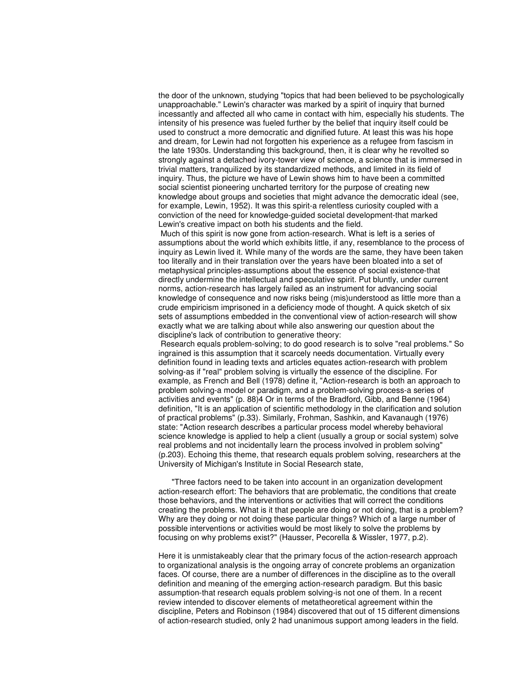the door of the unknown, studying "topics that had been believed to be psychologically unapproachable." Lewin's character was marked by a spirit of inquiry that burned incessantly and affected all who came in contact with him, especially his students. The intensity of his presence was fueled further by the belief that inquiry itself could be used to construct a more democratic and dignified future. At least this was his hope and dream, for Lewin had not forgotten his experience as a refugee from fascism in the late 1930s. Understanding this background, then, it is clear why he revolted so strongly against a detached ivory-tower view of science, a science that is immersed in trivial matters, tranquilized by its standardized methods, and limited in its field of inquiry. Thus, the picture we have of Lewin shows him to have been a committed social scientist pioneering uncharted territory for the purpose of creating new knowledge about groups and societies that might advance the democratic ideal (see, for example, Lewin, 1952). It was this spirit-a relentless curiosity coupled with a conviction of the need for knowledge-guided societal development-that marked Lewin's creative impact on both his students and the field.

 Much of this spirit is now gone from action-research. What is left is a series of assumptions about the world which exhibits little, if any, resemblance to the process of inquiry as Lewin lived it. While many of the words are the same, they have been taken too literally and in their translation over the years have been bloated into a set of metaphysical principles-assumptions about the essence of social existence-that directly undermine the intellectual and speculative spirit. Put bluntly, under current norms, action-research has largely failed as an instrument for advancing social knowledge of consequence and now risks being (mis)understood as little more than a crude empiricism imprisoned in a deficiency mode of thought. A quick sketch of six sets of assumptions embedded in the conventional view of action-research will show exactly what we are talking about while also answering our question about the discipline's lack of contribution to generative theory:

 Research equals problem-solving; to do good research is to solve "real problems." So ingrained is this assumption that it scarcely needs documentation. Virtually every definition found in leading texts and articles equates action-research with problem solving-as if "real" problem solving is virtually the essence of the discipline. For example, as French and Bell (1978) define it, "Action-research is both an approach to problem solving-a model or paradigm, and a problem-solving process-a series of activities and events" (p. 88)4 Or in terms of the Bradford, Gibb, and Benne (1964) definition, "It is an application of scientific methodology in the clarification and solution of practical problems" (p.33). Similarly, Frohman, Sashkin, and Kavanaugh (1976) state: "Action research describes a particular process model whereby behavioral science knowledge is applied to help a client (usually a group or social system) solve real problems and not incidentally learn the process involved in problem solving" (p.203). Echoing this theme, that research equals problem solving, researchers at the University of Michigan's Institute in Social Research state,

 "Three factors need to be taken into account in an organization development action-research effort: The behaviors that are problematic, the conditions that create those behaviors, and the interventions or activities that will correct the conditions creating the problems. What is it that people are doing or not doing, that is a problem? Why are they doing or not doing these particular things? Which of a large number of possible interventions or activities would be most likely to solve the problems by focusing on why problems exist?" (Hausser, Pecorella & Wissler, 1977, p.2).

Here it is unmistakeably clear that the primary focus of the action-research approach to organizational analysis is the ongoing array of concrete problems an organization faces. Of course, there are a number of differences in the discipline as to the overall definition and meaning of the emerging action-research paradigm. But this basic assumption-that research equals problem solving-is not one of them. In a recent review intended to discover elements of metatheoretical agreement within the discipline, Peters and Robinson (1984) discovered that out of 15 different dimensions of action-research studied, only 2 had unanimous support among leaders in the field.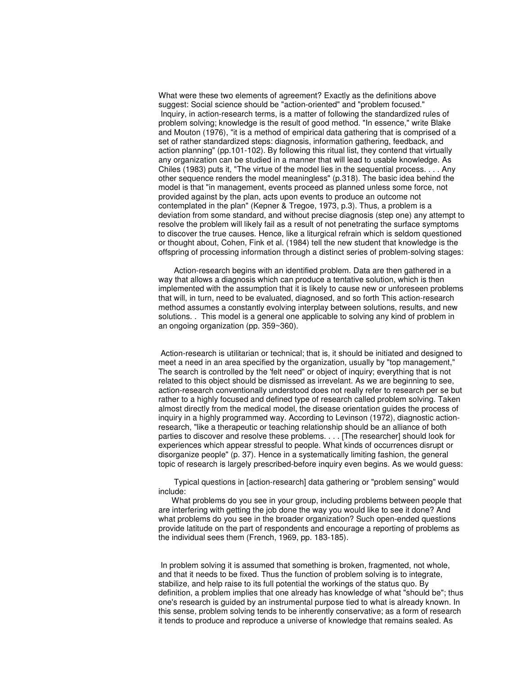What were these two elements of agreement? Exactly as the definitions above suggest: Social science should be "action-oriented" and "problem focused." Inquiry, in action-research terms, is a matter of following the standardized rules of problem solving; knowledge is the result of good method. "In essence," write Blake and Mouton (1976), "it is a method of empirical data gathering that is comprised of a set of rather standardized steps: diagnosis, information gathering, feedback, and action planning" (pp.101-102). By following this ritual list, they contend that virtually any organization can be studied in a manner that will lead to usable knowledge. As Chiles (1983) puts it, "The virtue of the model lies in the sequential process. . . . Any other sequence renders the model meaningless" (p.318). The basic idea behind the model is that "in management, events proceed as planned unless some force, not provided against by the plan, acts upon events to produce an outcome not contemplated in the plan" (Kepner & Tregoe, 1973, p.3). Thus, a problem is a deviation from some standard, and without precise diagnosis (step one) any attempt to resolve the problem will likely fail as a result of not penetrating the surface symptoms to discover the true causes. Hence, like a liturgical refrain which is seldom questioned or thought about, Cohen, Fink et al. (1984) tell the new student that knowledge is the offspring of processing information through a distinct series of problem-solving stages:

 Action-research begins with an identified problem. Data are then gathered in a way that allows a diagnosis which can produce a tentative solution, which is then implemented with the assumption that it is likely to cause new or unforeseen problems that will, in turn, need to be evaluated, diagnosed, and so forth This action-research method assumes a constantly evolving interplay between solutions, results, and new solutions. . This model is a general one applicable to solving any kind of problem in an ongoing organization (pp. 359~360).

 Action-research is utilitarian or technical; that is, it should be initiated and designed to meet a need in an area specified by the organization, usually by "top management," The search is controlled by the 'felt need" or object of inquiry; everything that is not related to this object should be dismissed as irrevelant. As we are beginning to see, action-research conventionally understood does not really refer to research per se but rather to a highly focused and defined type of research called problem solving. Taken almost directly from the medical model, the disease orientation guides the process of inquiry in a highly programmed way. According to Levinson (1972), diagnostic actionresearch, "like a therapeutic or teaching relationship should be an alliance of both parties to discover and resolve these problems. . . . [The researcher] should look for experiences which appear stressful to people. What kinds of occurrences disrupt or disorganize people" (p. 37). Hence in a systematically limiting fashion, the general topic of research is largely prescribed-before inquiry even begins. As we would guess:

 Typical questions in [action-research] data gathering or "problem sensing" would include:

 What problems do you see in your group, including problems between people that are interfering with getting the job done the way you would like to see it done? And what problems do you see in the broader organization? Such open-ended questions provide latitude on the part of respondents and encourage a reporting of problems as the individual sees them (French, 1969, pp. 183-185).

 In problem solving it is assumed that something is broken, fragmented, not whole, and that it needs to be fixed. Thus the function of problem solving is to integrate, stabilize, and help raise to its full potential the workings of the status quo. By definition, a problem implies that one already has knowledge of what "should be"; thus one's research is guided by an instrumental purpose tied to what is already known. In this sense, problem solving tends to be inherently conservative; as a form of research it tends to produce and reproduce a universe of knowledge that remains sealed. As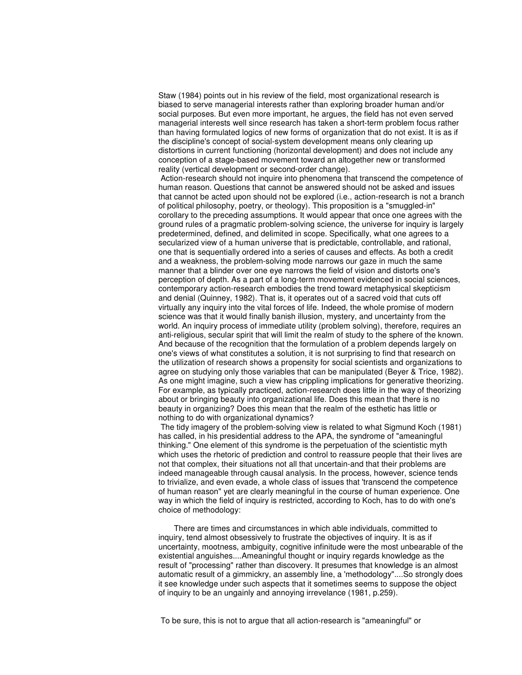Staw (1984) points out in his review of the field, most organizational research is biased to serve managerial interests rather than exploring broader human and/or social purposes. But even more important, he argues, the field has not even served managerial interests well since research has taken a short-term problem focus rather than having formulated logics of new forms of organization that do not exist. It is as if the discipline's concept of social-system development means only clearing up distortions in current functioning (horizontal development) and does not include any conception of a stage-based movement toward an altogether new or transformed reality (vertical development or second-order change).

 Action-research should not inquire into phenomena that transcend the competence of human reason. Questions that cannot be answered should not be asked and issues that cannot be acted upon should not be explored (i.e., action-research is not a branch of political philosophy, poetry, or theology). This proposition is a "smuggled-in" corollary to the preceding assumptions. It would appear that once one agrees with the ground rules of a pragmatic problem-solving science, the universe for inquiry is largely predetermined, defined, and delimited in scope. Specifically, what one agrees to a secularized view of a human universe that is predictable, controllable, and rational, one that is sequentially ordered into a series of causes and effects. As both a credit and a weakness, the problem-solving mode narrows our gaze in much the same manner that a blinder over one eye narrows the field of vision and distorts one's perception of depth. As a part of a long-term movement evidenced in social sciences, contemporary action-research embodies the trend toward metaphysical skepticism and denial (Quinney, 1982). That is, it operates out of a sacred void that cuts off virtually any inquiry into the vital forces of life. Indeed, the whole promise of modern science was that it would finally banish illusion, mystery, and uncertainty from the world. An inquiry process of immediate utility (problem solving), therefore, requires an anti-religious, secular spirit that will limit the realm of study to the sphere of the known. And because of the recognition that the formulation of a problem depends largely on one's views of what constitutes a solution, it is not surprising to find that research on the utilization of research shows a propensity for social scientists and organizations to agree on studying only those variables that can be manipulated (Beyer & Trice, 1982). As one might imagine, such a view has crippling implications for generative theorizing. For example, as typically practiced, action-research does little in the way of theorizing about or bringing beauty into organizational life. Does this mean that there is no beauty in organizing? Does this mean that the realm of the esthetic has little or nothing to do with organizational dynamics?

 The tidy imagery of the problem-solving view is related to what Sigmund Koch (1981) has called, in his presidential address to the APA, the syndrome of "ameaningful thinking." One element of this syndrome is the perpetuation of the scientistic myth which uses the rhetoric of prediction and control to reassure people that their lives are not that complex, their situations not all that uncertain-and that their problems are indeed manageable through causal analysis. In the process, however, science tends to trivialize, and even evade, a whole class of issues that 'transcend the competence of human reason" yet are clearly meaningful in the course of human experience. One way in which the field of inquiry is restricted, according to Koch, has to do with one's choice of methodology:

 There are times and circumstances in which able individuals, committed to inquiry, tend almost obsessively to frustrate the objectives of inquiry. It is as if uncertainty, mootness, ambiguity, cognitive infinitude were the most unbearable of the existential anguishes....Ameaningful thought or inquiry regards knowledge as the result of "processing" rather than discovery. It presumes that knowledge is an almost automatic result of a gimmickry, an assembly line, a 'methodology"....So strongly does it see knowledge under such aspects that it sometimes seems to suppose the object of inquiry to be an ungainly and annoying irrevelance (1981, p.259).

To be sure, this is not to argue that all action-research is "ameaningful" or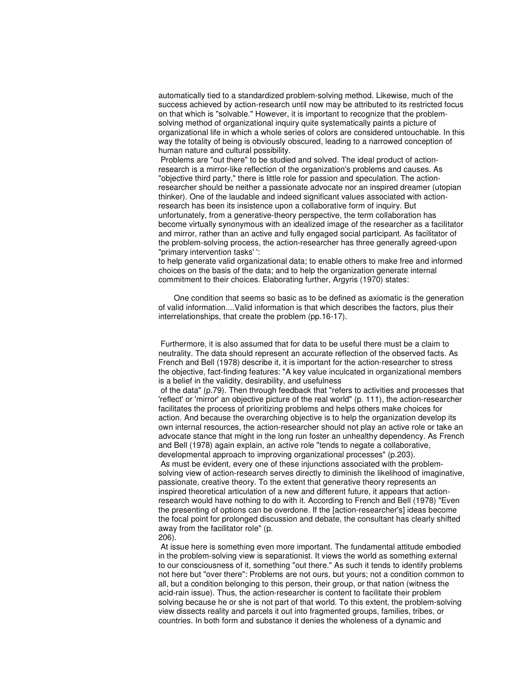automatically tied to a standardized problem-solving method. Likewise, much of the success achieved by action-research until now may be attributed to its restricted focus on that which is "solvable." However, it is important to recognize that the problemsolving method of organizational inquiry quite systematically paints a picture of organizational life in which a whole series of colors are considered untouchable. In this way the totality of being is obviously obscured, leading to a narrowed conception of human nature and cultural possibility.

 Problems are "out there" to be studied and solved. The ideal product of actionresearch is a mirror-like reflection of the organization's problems and causes. As "objective third party," there is little role for passion and speculation. The actionresearcher should be neither a passionate advocate nor an inspired dreamer (utopian thinker). One of the laudable and indeed significant values associated with actionresearch has been its insistence upon a collaborative form of inquiry. But unfortunately, from a generative-theory perspective, the term collaboration has become virtually synonymous with an idealized image of the researcher as a facilitator and mirror, rather than an active and fully engaged social participant. As facilitator of the problem-solving process, the action-researcher has three generally agreed-upon "primary intervention tasks' ':

to help generate valid organizational data; to enable others to make free and informed choices on the basis of the data; and to help the organization generate internal commitment to their choices. Elaborating further, Argyris (1970) states:

 One condition that seems so basic as to be defined as axiomatic is the generation of valid information....Valid information is that which describes the factors, plus their interrelationships, that create the problem (pp.16-17).

 Furthermore, it is also assumed that for data to be useful there must be a claim to neutrality. The data should represent an accurate reflection of the observed facts. As French and Bell (1978) describe it, it is important for the action-researcher to stress the objective, fact-finding features: "A key value inculcated in organizational members is a belief in the validity, desirability, and usefulness

 of the data" (p.79). Then through feedback that "refers to activities and processes that 'reflect' or 'mirror' an objective picture of the real world" (p. 111), the action-researcher facilitates the process of prioritizing problems and helps others make choices for action. And because the overarching objective is to help the organization develop its own internal resources, the action-researcher should not play an active role or take an advocate stance that might in the long run foster an unhealthy dependency. As French and Bell (1978) again explain, an active role "tends to negate a collaborative, developmental approach to improving organizational processes" (p.203). As must be evident, every one of these injunctions associated with the problemsolving view of action-research serves directly to diminish the likelihood of imaginative,

passionate, creative theory. To the extent that generative theory represents an inspired theoretical articulation of a new and different future, it appears that actionresearch would have nothing to do with it. According to French and Bell (1978) "Even the presenting of options can be overdone. If the [action-researcher's] ideas become the focal point for prolonged discussion and debate, the consultant has clearly shifted away from the facilitator role" (p.

#### 206).

 At issue here is something even more important. The fundamental attitude embodied in the problem-solving view is separationist. It views the world as something external to our consciousness of it, something "out there." As such it tends to identify problems not here but "over there": Problems are not ours, but yours; not a condition common to all, but a condition belonging to this person, their group, or that nation (witness the acid-rain issue). Thus, the action-researcher is content to facilitate their problem solving because he or she is not part of that world. To this extent, the problem-solving view dissects reality and parcels it out into fragmented groups, families, tribes, or countries. In both form and substance it denies the wholeness of a dynamic and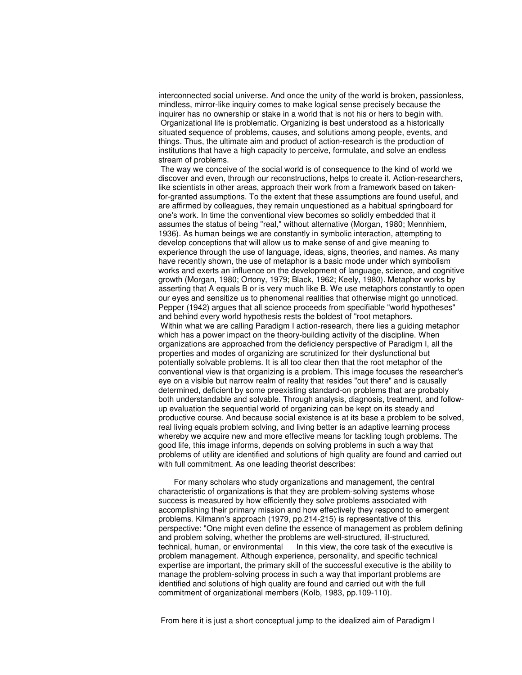interconnected social universe. And once the unity of the world is broken, passionless, mindless, mirror-like inquiry comes to make logical sense precisely because the inquirer has no ownership or stake in a world that is not his or hers to begin with. Organizational life is problematic. Organizing is best understood as a historically situated sequence of problems, causes, and solutions among people, events, and things. Thus, the ultimate aim and product of action-research is the production of institutions that have a high capacity to perceive, formulate, and solve an endless stream of problems.

 The way we conceive of the social world is of consequence to the kind of world we discover and even, through our reconstructions, helps to create it. Action-researchers, like scientists in other areas, approach their work from a framework based on takenfor-granted assumptions. To the extent that these assumptions are found useful, and are affirmed by colleagues, they remain unquestioned as a habitual springboard for one's work. In time the conventional view becomes so solidly embedded that it assumes the status of being "real," without alternative (Morgan, 1980; Mennhiem, 1936). As human beings we are constantly in symbolic interaction, attempting to develop conceptions that will allow us to make sense of and give meaning to experience through the use of language, ideas, signs, theories, and names. As many have recently shown, the use of metaphor is a basic mode under which symbolism works and exerts an influence on the development of language, science, and cognitive growth (Morgan, 1980; Ortony, 1979; Black, 1962; Keely, 1980). Metaphor works by asserting that A equals B or is very much like B. We use metaphors constantly to open our eyes and sensitize us to phenomenal realities that otherwise might go unnoticed. Pepper (1942) argues that all science proceeds from specifiable "world hypotheses" and behind every world hypothesis rests the boldest of "root metaphors. Within what we are calling Paradigm I action-research, there lies a guiding metaphor which has a power impact on the theory-building activity of the discipline. When organizations are approached from the deficiency perspective of Paradigm I, all the properties and modes of organizing are scrutinized for their dysfunctional but potentially solvable problems. It is all too clear then that the root metaphor of the conventional view is that organizing is a problem. This image focuses the researcher's eye on a visible but narrow realm of reality that resides "out there" and is causally determined, deficient by some preexisting standard-on problems that are probably both understandable and solvable. Through analysis, diagnosis, treatment, and followup evaluation the sequential world of organizing can be kept on its steady and productive course. And because social existence is at its base a problem to be solved, real living equals problem solving, and living better is an adaptive learning process whereby we acquire new and more effective means for tackling tough problems. The good life, this image informs, depends on solving problems in such a way that problems of utility are identified and solutions of high quality are found and carried out with full commitment. As one leading theorist describes:

 For many scholars who study organizations and management, the central characteristic of organizations is that they are problem-solving systems whose success is measured by how efficiently they solve problems associated with accomplishing their primary mission and how effectively they respond to emergent problems. Kilmann's approach (1979, pp.214-215) is representative of this perspective: "One might even define the essence of management as problem defining and problem solving, whether the problems are well-structured, ill-structured, technical, human, or environmental In this view, the core task of the executive is problem management. Although experience, personality, and specific technical expertise are important, the primary skill of the successful executive is the ability to manage the problem-solving process in such a way that important problems are identified and solutions of high quality are found and carried out with the full commitment of organizational members (KoIb, 1983, pp.109-110).

From here it is just a short conceptual jump to the idealized aim of Paradigm I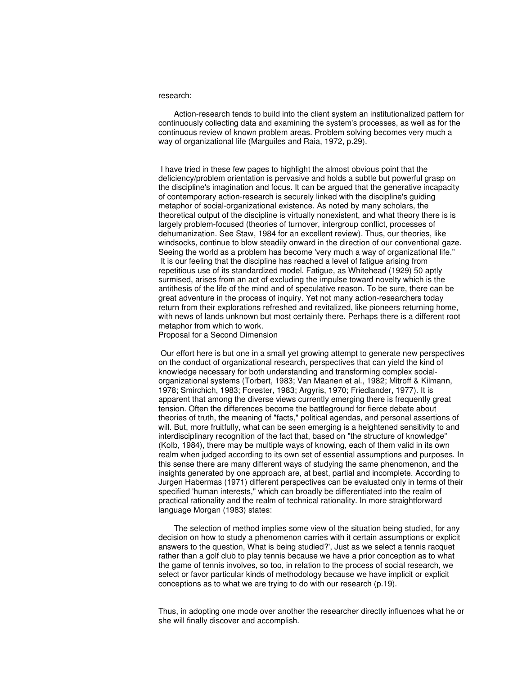research:

 Action-research tends to build into the client system an institutionalized pattern for continuously collecting data and examining the system's processes, as well as for the continuous review of known problem areas. Problem solving becomes very much a way of organizational life (Marguiles and Raia, 1972, p.29).

 I have tried in these few pages to highlight the almost obvious point that the deficiency/problem orientation is pervasive and holds a subtle but powerful grasp on the discipline's imagination and focus. It can be argued that the generative incapacity of contemporary action-research is securely linked with the discipline's guiding metaphor of social-organizational existence. As noted by many scholars, the theoretical output of the discipline is virtually nonexistent, and what theory there is is largely problem-focused (theories of turnover, intergroup conflict, processes of dehumanization. See Staw, 1984 for an excellent review). Thus, our theories, like windsocks, continue to blow steadily onward in the direction of our conventional gaze. Seeing the world as a problem has become 'very much a way of organizational life." It is our feeling that the discipline has reached a level of fatigue arising from repetitious use of its standardized model. Fatigue, as Whitehead (1929) 50 aptly surmised, arises from an act of excluding the impulse toward novelty which is the antithesis of the life of the mind and of speculative reason. To be sure, there can be great adventure in the process of inquiry. Yet not many action-researchers today return from their explorations refreshed and revitalized, like pioneers returning home, with news of lands unknown but most certainly there. Perhaps there is a different root metaphor from which to work.

Proposal for a Second Dimension

 Our effort here is but one in a small yet growing attempt to generate new perspectives on the conduct of organizational research, perspectives that can yield the kind of knowledge necessary for both understanding and transforming complex socialorganizational systems (Torbert, 1983; Van Maanen et al., 1982; Mitroff & Kilmann, 1978; Smirchich, 1983; Forester, 1983; Argyris, 1970; Friedlander, 1977). It is apparent that among the diverse views currently emerging there is frequently great tension. Often the differences become the battleground for fierce debate about theories of truth, the meaning of "facts," political agendas, and personal assertions of will. But, more fruitfully, what can be seen emerging is a heightened sensitivity to and interdisciplinary recognition of the fact that, based on "the structure of knowledge" (KoIb, 1984), there may be multiple ways of knowing, each of them valid in its own realm when judged according to its own set of essential assumptions and purposes. In this sense there are many different ways of studying the same phenomenon, and the insights generated by one approach are, at best, partial and incomplete. According to Jurgen Habermas (1971) different perspectives can be evaluated only in terms of their specified 'human interests," which can broadly be differentiated into the realm of practical rationality and the realm of technical rationality. In more straightforward language Morgan (1983) states:

 The selection of method implies some view of the situation being studied, for any decision on how to study a phenomenon carries with it certain assumptions or explicit answers to the question, What is being studied?', Just as we select a tennis racquet rather than a golf club to play tennis because we have a prior conception as to what the game of tennis involves, so too, in relation to the process of social research, we select or favor particular kinds of methodology because we have implicit or explicit conceptions as to what we are trying to do with our research (p.19).

Thus, in adopting one mode over another the researcher directly influences what he or she will finally discover and accomplish.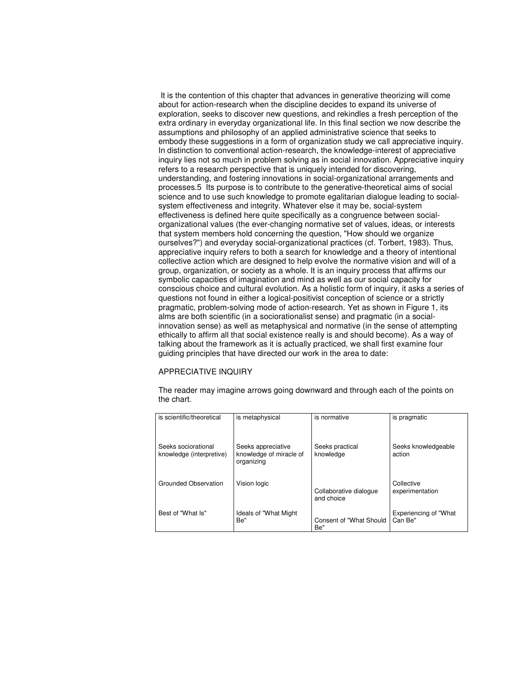It is the contention of this chapter that advances in generative theorizing will come about for action-research when the discipline decides to expand its universe of exploration, seeks to discover new questions, and rekindles a fresh perception of the extra ordinary in everyday organizational life. In this final section we now describe the assumptions and philosophy of an applied administrative science that seeks to embody these suggestions in a form of organization study we call appreciative inquiry. In distinction to conventional action-research, the knowledge-interest of appreciative inquiry lies not so much in problem solving as in social innovation. Appreciative inquiry refers to a research perspective that is uniquely intended for discovering, understanding, and fostering innovations in social-organizational arrangements and processes.5 Its purpose is to contribute to the generative-theoretical aims of social science and to use such knowledge to promote egalitarian dialogue leading to socialsystem effectiveness and integrity. Whatever else it may be, social-system effectiveness is defined here quite specifically as a congruence between socialorganizational values (the ever-changing normative set of values, ideas, or interests that system members hold concerning the question, "How should we organize ourselves?") and everyday social-organizational practices (cf. Torbert, 1983). Thus, appreciative inquiry refers to both a search for knowledge and a theory of intentional collective action which are designed to help evolve the normative vision and will of a group, organization, or society as a whole. It is an inquiry process that affirms our symbolic capacities of imagination and mind as well as our social capacity for conscious choice and cultural evolution. As a holistic form of inquiry, it asks a series of questions not found in either a logical-positivist conception of science or a strictly pragmatic, problem-solving mode of action-research. Yet as shown in Figure 1, its alms are both scientific (in a sociorationalist sense) and pragmatic (in a socialinnovation sense) as well as metaphysical and normative (in the sense of attempting ethically to affirm all that social existence really is and should become). As a way of talking about the framework as it is actually practiced, we shall first examine four guiding principles that have directed our work in the area to date:

# APPRECIATIVE INQUIRY

The reader may imagine arrows going downward and through each of the points on the chart.

| is scientific/theoretical                       | is metaphysical                                             | is normative                         | is pragmatic                      |
|-------------------------------------------------|-------------------------------------------------------------|--------------------------------------|-----------------------------------|
| Seeks sociorational<br>knowledge (interpretive) | Seeks appreciative<br>knowledge of miracle of<br>organizing | Seeks practical<br>knowledge         | Seeks knowledgeable<br>action     |
| Grounded Observation                            | Vision logic                                                | Collaborative dialogue<br>and choice | Collective<br>experimentation     |
| Best of "What Is"                               | Ideals of "What Might"<br>Be"                               | Consent of "What Should"<br>Be"      | Experiencing of "What"<br>Can Be" |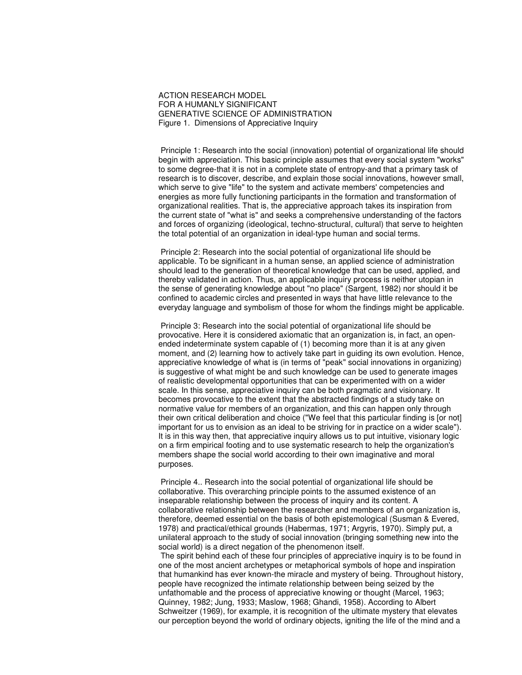ACTION RESEARCH MODEL FOR A HUMANLY SIGNIFICANT GENERATIVE SCIENCE OF ADMINISTRATION Figure 1. Dimensions of Appreciative Inquiry

 Principle 1: Research into the social (innovation) potential of organizational life should begin with appreciation. This basic principle assumes that every social system "works" to some degree-that it is not in a complete state of entropy-and that a primary task of research is to discover, describe, and explain those social innovations, however small, which serve to give "life" to the system and activate members' competencies and energies as more fully functioning participants in the formation and transformation of organizational realities. That is, the appreciative approach takes its inspiration from the current state of "what is" and seeks a comprehensive understanding of the factors and forces of organizing (ideological, techno-structural, cultural) that serve to heighten the total potential of an organization in ideal-type human and social terms.

 Principle 2: Research into the social potential of organizational life should be applicable. To be significant in a human sense, an applied science of administration should lead to the generation of theoretical knowledge that can be used, applied, and thereby validated in action. Thus, an applicable inquiry process is neither utopian in the sense of generating knowledge about "no place" (Sargent, 1982) nor should it be confined to academic circles and presented in ways that have little relevance to the everyday language and symbolism of those for whom the findings might be applicable.

 Principle 3: Research into the social potential of organizational life should be provocative. Here it is considered axiomatic that an organization is, in fact, an openended indeterminate system capable of (1) becoming more than it is at any given moment, and (2) learning how to actively take part in guiding its own evolution. Hence, appreciative knowledge of what is (in terms of "peak" social innovations in organizing) is suggestive of what might be and such knowledge can be used to generate images of realistic developmental opportunities that can be experimented with on a wider scale. In this sense, appreciative inquiry can be both pragmatic and visionary. It becomes provocative to the extent that the abstracted findings of a study take on normative value for members of an organization, and this can happen only through their own critical deliberation and choice ("We feel that this particular finding is [or not] important for us to envision as an ideal to be striving for in practice on a wider scale"). It is in this way then, that appreciative inquiry allows us to put intuitive, visionary logic on a firm empirical footing and to use systematic research to help the organization's members shape the social world according to their own imaginative and moral purposes.

 Principle 4.. Research into the social potential of organizational life should be collaborative. This overarching principle points to the assumed existence of an inseparable relationship between the process of inquiry and its content. A collaborative relationship between the researcher and members of an organization is, therefore, deemed essential on the basis of both epistemological (Susman & Evered, 1978) and practical/ethical grounds (Habermas, 1971; Argyris, 1970). Simply put, a unilateral approach to the study of social innovation (bringing something new into the social world) is a direct negation of the phenomenon itself.

 The spirit behind each of these four principles of appreciative inquiry is to be found in one of the most ancient archetypes or metaphorical symbols of hope and inspiration that humankind has ever known-the miracle and mystery of being. Throughout history, people have recognized the intimate relationship between being seized by the unfathomable and the process of appreciative knowing or thought (Marcel, 1963; Quinney, 1982; Jung, 1933; Maslow, 1968; Ghandi, 1958). According to Albert Schweitzer (1969), for example, it is recognition of the ultimate mystery that elevates our perception beyond the world of ordinary objects, igniting the life of the mind and a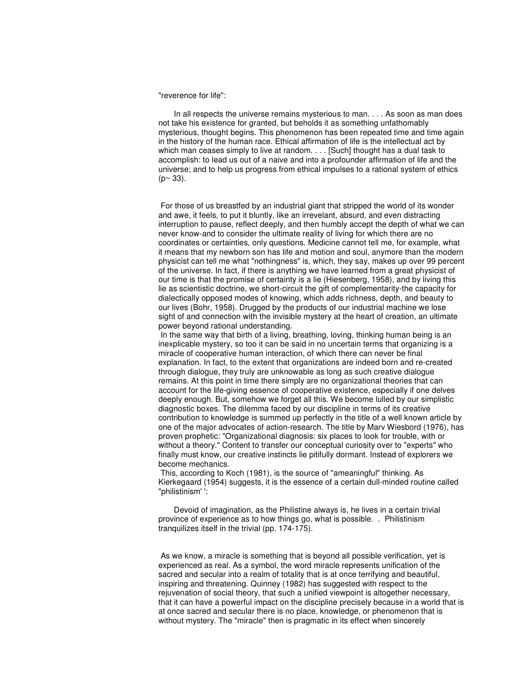"reverence for life":

 In all respects the universe remains mysterious to man. . . . As soon as man does not take his existence for granted, but beholds it as something unfathomably mysterious, thought begins. This phenomenon has been repeated time and time again in the history of the human race. Ethical affirmation of life is the intellectual act by which man ceases simply to live at random. . . . [Such] thought has a dual task to accomplish: to lead us out of a naive and into a profounder affirmation of life and the universe; and to help us progress from ethical impulses to a rational system of ethics  $(p \sim 33)$ .

 For those of us breastfed by an industrial giant that stripped the world of its wonder and awe, it feels, to put it bluntly, like an irrevelant, absurd, and even distracting interruption to pause, reflect deeply, and then humbly accept the depth of what we can never know-and to consider the ultimate reality of living for which there are no coordinates or certainties, only questions. Medicine cannot tell me, for example, what it means that my newborn son has life and motion and soul, anymore than the modern physicist can tell me what "nothingness" is, which, they say, makes up over 99 percent of the universe. In fact, if there is anything we have learned from a great physicist of our time is that the promise of certainty is a lie (Hiesenberg, 1958), and by living this lie as scientistic doctrine, we short-circuit the gift of complementarity-the capacity for dialectically opposed modes of knowing, which adds richness, depth, and beauty to our lives (Bohr, 1958). Drugged by the products of our industrial machine we lose sight of and connection with the invisible mystery at the heart of creation, an ultimate power beyond rational understanding.

 In the same way that birth of a living, breathing, loving, thinking human being is an inexplicable mystery, so too it can be said in no uncertain terms that organizing is a miracle of cooperative human interaction, of which there can never be final explanation. In fact, to the extent that organizations are indeed born and re-created through dialogue, they truly are unknowable as long as such creative dialogue remains. At this point in time there simply are no organizational theories that can account for the life-giving essence of cooperative existence, especially if one delves deeply enough. But, somehow we forget all this. We become lulled by our simplistic diagnostic boxes. The dilemma faced by our discipline in terms of its creative contribution to knowledge is summed up perfectly in the title of a well known article by one of the major advocates of action-research. The title by Marv Wiesbord (1976), has proven prophetic: "Organizational diagnosis: six places to look for trouble, with or without a theory." Content to transfer our conceptual curiosity over to "experts" who finally must know, our creative instincts lie pitifully dormant. Instead of explorers we become mechanics.

 This, according to Koch (1981), is the source of "ameaningful" thinking. As Kierkegaard (1954) suggests, it is the essence of a certain dull-minded routine called "philistinism' ':

 Devoid of imagination, as the Philistine always is, he lives in a certain trivial province of experience as to how things go, what is possible. . Philistinism tranquilizes itself in the trivial (pp. 174-175).

 As we know, a miracle is something that is beyond all possible verification, yet is experienced as real. As a symbol, the word miracle represents unification of the sacred and secular into a realm of totality that is at once terrifying and beautiful, inspiring and threatening. Quinney (1982) has suggested with respect to the rejuvenation of social theory, that such a unified viewpoint is altogether necessary, that it can have a powerful impact on the discipline precisely because in a world that is at once sacred and secular there is no place, knowledge, or phenomenon that is without mystery. The "miracle" then is pragmatic in its effect when sincerely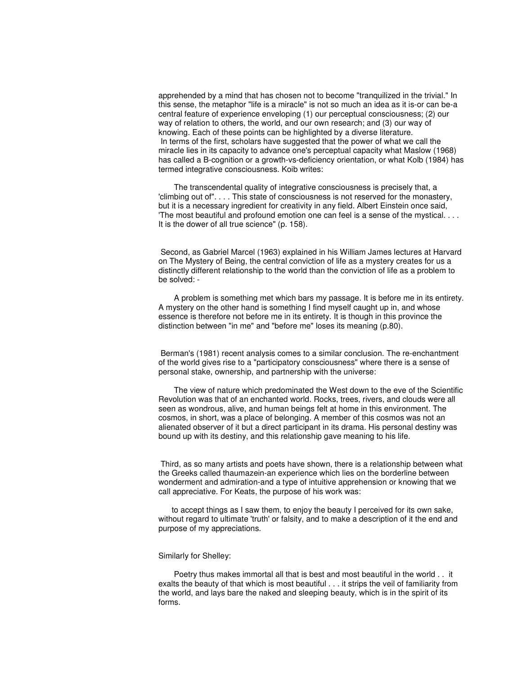apprehended by a mind that has chosen not to become "tranquilized in the trivial." In this sense, the metaphor "life is a miracle" is not so much an idea as it is-or can be-a central feature of experience enveloping (1) our perceptual consciousness; (2) our way of relation to others, the world, and our own research; and (3) our way of knowing. Each of these points can be highlighted by a diverse literature. In terms of the first, scholars have suggested that the power of what we call the miracle lies in its capacity to advance one's perceptual capacity what Maslow (1968) has called a B-cognition or a growth-vs-deficiency orientation, or what Kolb (1984) has termed integrative consciousness. Koib writes:

 The transcendental quality of integrative consciousness is precisely that, a 'climbing out of". . . . This state of consciousness is not reserved for the monastery, but it is a necessary ingredient for creativity in any field. Albert Einstein once said, 'The most beautiful and profound emotion one can feel is a sense of the mystical. . . . It is the dower of all true science" (p. 158).

 Second, as Gabriel Marcel (1963) explained in his William James lectures at Harvard on The Mystery of Being, the central conviction of life as a mystery creates for us a distinctly different relationship to the world than the conviction of life as a problem to be solved: -

 A problem is something met which bars my passage. It is before me in its entirety. A mystery on the other hand is something I find myself caught up in, and whose essence is therefore not before me in its entirety. It is though in this province the distinction between "in me" and "before me" loses its meaning (p.80).

 Berman's (1981) recent analysis comes to a similar conclusion. The re-enchantment of the world gives rise to a "participatory consciousness" where there is a sense of personal stake, ownership, and partnership with the universe:

 The view of nature which predominated the West down to the eve of the Scientific Revolution was that of an enchanted world. Rocks, trees, rivers, and clouds were all seen as wondrous, alive, and human beings felt at home in this environment. The cosmos, in short, was a place of belonging. A member of this cosmos was not an alienated observer of it but a direct participant in its drama. His personal destiny was bound up with its destiny, and this relationship gave meaning to his life.

 Third, as so many artists and poets have shown, there is a relationship between what the Greeks called thaumazein-an experience which lies on the borderline between wonderment and admiration-and a type of intuitive apprehension or knowing that we call appreciative. For Keats, the purpose of his work was:

 to accept things as I saw them, to enjoy the beauty I perceived for its own sake, without regard to ultimate 'truth' or falsity, and to make a description of it the end and purpose of my appreciations.

#### Similarly for Shelley:

 Poetry thus makes immortal all that is best and most beautiful in the world . . it exalts the beauty of that which is most beautiful . . . it strips the veil of familiarity from the world, and lays bare the naked and sleeping beauty, which is in the spirit of its forms.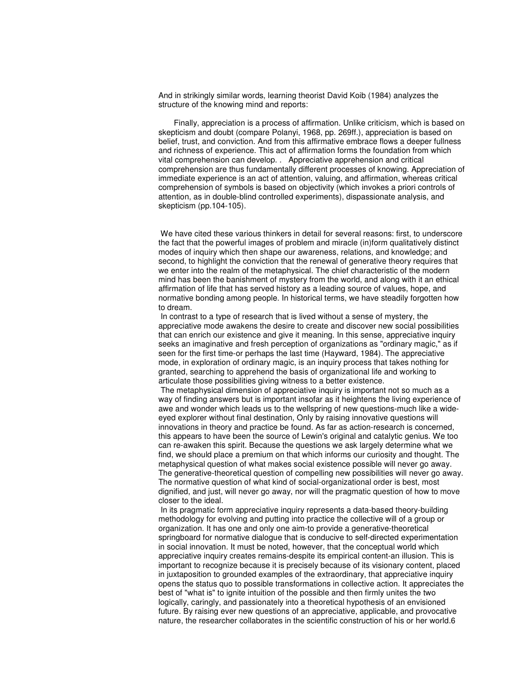And in strikingly similar words, learning theorist David Koib (1984) analyzes the structure of the knowing mind and reports:

 Finally, appreciation is a process of affirmation. Unlike criticism, which is based on skepticism and doubt (compare Polanyi, 1968, pp. 269ff.), appreciation is based on belief, trust, and conviction. And from this affirmative embrace flows a deeper fullness and richness of experience. This act of affirmation forms the foundation from which vital comprehension can develop. . Appreciative apprehension and critical comprehension are thus fundamentally different processes of knowing. Appreciation of immediate experience is an act of attention, valuing, and affirmation, whereas critical comprehension of symbols is based on objectivity (which invokes a priori controls of attention, as in double-blind controlled experiments), dispassionate analysis, and skepticism (pp.104-105).

 We have cited these various thinkers in detail for several reasons: first, to underscore the fact that the powerful images of problem and miracle (in)form qualitatively distinct modes of inquiry which then shape our awareness, relations, and knowledge; and second, to highlight the conviction that the renewal of generative theory requires that we enter into the realm of the metaphysical. The chief characteristic of the modern mind has been the banishment of mystery from the world, and along with it an ethical affirmation of life that has served history as a leading source of values, hope, and normative bonding among people. In historical terms, we have steadily forgotten how to dream.

 In contrast to a type of research that is lived without a sense of mystery, the appreciative mode awakens the desire to create and discover new social possibilities that can enrich our existence and give it meaning. In this sense, appreciative inquiry seeks an imaginative and fresh perception of organizations as "ordinary magic," as if seen for the first time-or perhaps the last time (Hayward, 1984). The appreciative mode, in exploration of ordinary magic, is an inquiry process that takes nothing for granted, searching to apprehend the basis of organizational life and working to articulate those possibilities giving witness to a better existence.

 The metaphysical dimension of appreciative inquiry is important not so much as a way of finding answers but is important insofar as it heightens the living experience of awe and wonder which leads us to the wellspring of new questions-much like a wideeyed explorer without final destination, Only by raising innovative questions will innovations in theory and practice be found. As far as action-research is concerned, this appears to have been the source of Lewin's original and catalytic genius. We too can re-awaken this spirit. Because the questions we ask largely determine what we find, we should place a premium on that which informs our curiosity and thought. The metaphysical question of what makes social existence possible will never go away. The generative-theoretical question of compelling new possibilities will never go away. The normative question of what kind of social-organizational order is best, most dignified, and just, will never go away, nor will the pragmatic question of how to move closer to the ideal.

 In its pragmatic form appreciative inquiry represents a data-based theory-building methodology for evolving and putting into practice the collective will of a group or organization. It has one and only one aim-to provide a generative-theoretical springboard for normative dialogue that is conducive to self-directed experimentation in social innovation. It must be noted, however, that the conceptual world which appreciative inquiry creates remains-despite its empirical content-an illusion. This is important to recognize because it is precisely because of its visionary content, placed in juxtaposition to grounded examples of the extraordinary, that appreciative inquiry opens the status quo to possible transformations in collective action. It appreciates the best of "what is" to ignite intuition of the possible and then firmly unites the two logically, caringly, and passionately into a theoretical hypothesis of an envisioned future. By raising ever new questions of an appreciative, applicable, and provocative nature, the researcher collaborates in the scientific construction of his or her world.6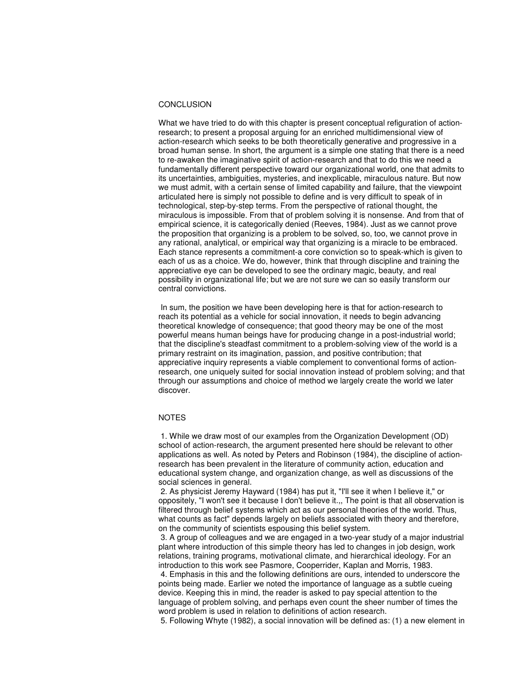# **CONCLUSION**

What we have tried to do with this chapter is present conceptual refiguration of actionresearch; to present a proposal arguing for an enriched multidimensional view of action-research which seeks to be both theoretically generative and progressive in a broad human sense. In short, the argument is a simple one stating that there is a need to re-awaken the imaginative spirit of action-research and that to do this we need a fundamentally different perspective toward our organizational world, one that admits to its uncertainties, ambiguities, mysteries, and inexplicable, miraculous nature. But now we must admit, with a certain sense of limited capability and failure, that the viewpoint articulated here is simply not possible to define and is very difficult to speak of in technological, step-by-step terms. From the perspective of rational thought, the miraculous is impossible. From that of problem solving it is nonsense. And from that of empirical science, it is categorically denied (Reeves, 1984). Just as we cannot prove the proposition that organizing is a problem to be solved, so, too, we cannot prove in any rational, analytical, or empirical way that organizing is a miracle to be embraced. Each stance represents a commitment-a core conviction so to speak-which is given to each of us as a choice. We do, however, think that through discipline and training the appreciative eye can be developed to see the ordinary magic, beauty, and real possibility in organizational life; but we are not sure we can so easily transform our central convictions.

 In sum, the position we have been developing here is that for action-research to reach its potential as a vehicle for social innovation, it needs to begin advancing theoretical knowledge of consequence; that good theory may be one of the most powerful means human beings have for producing change in a post-industrial world; that the discipline's steadfast commitment to a problem-solving view of the world is a primary restraint on its imagination, passion, and positive contribution; that appreciative inquiry represents a viable complement to conventional forms of actionresearch, one uniquely suited for social innovation instead of problem solving; and that through our assumptions and choice of method we largely create the world we later discover.

## **NOTES**

 1. While we draw most of our examples from the Organization Development (OD) school of action-research, the argument presented here should be relevant to other applications as well. As noted by Peters and Robinson (1984), the discipline of actionresearch has been prevalent in the literature of community action, education and educational system change, and organization change, as well as discussions of the social sciences in general.

 2. As physicist Jeremy Hayward (1984) has put it, "I'll see it when I believe it," or oppositely, "I won't see it because I don't believe it.,, The point is that all observation is filtered through belief systems which act as our personal theories of the world. Thus, what counts as fact" depends largely on beliefs associated with theory and therefore, on the community of scientists espousing this belief system.

 3. A group of colleagues and we are engaged in a two-year study of a major industrial plant where introduction of this simple theory has led to changes in job design, work relations, training programs, motivational climate, and hierarchical ideology. For an introduction to this work see Pasmore, Cooperrider, Kaplan and Morris, 1983.

 4. Emphasis in this and the following definitions are ours, intended to underscore the points being made. Earlier we noted the importance of language as a subtle cueing device. Keeping this in mind, the reader is asked to pay special attention to the language of problem solving, and perhaps even count the sheer number of times the word problem is used in relation to definitions of action research.

5. Following Whyte (1982), a social innovation will be defined as: (1) a new element in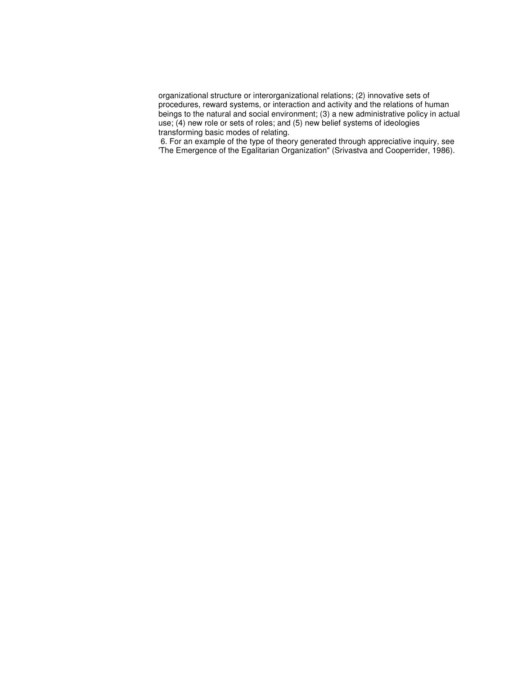organizational structure or interorganizational relations; (2) innovative sets of procedures, reward systems, or interaction and activity and the relations of human beings to the natural and social environment; (3) a new administrative policy in actual use; (4) new role or sets of roles; and (5) new belief systems of ideologies transforming basic modes of relating.

6. For an example of the type of theory generated through appreciative inquiry, see 'The Emergence of the Egalitarian Organization" (Srivastva and Cooperrider, 1986).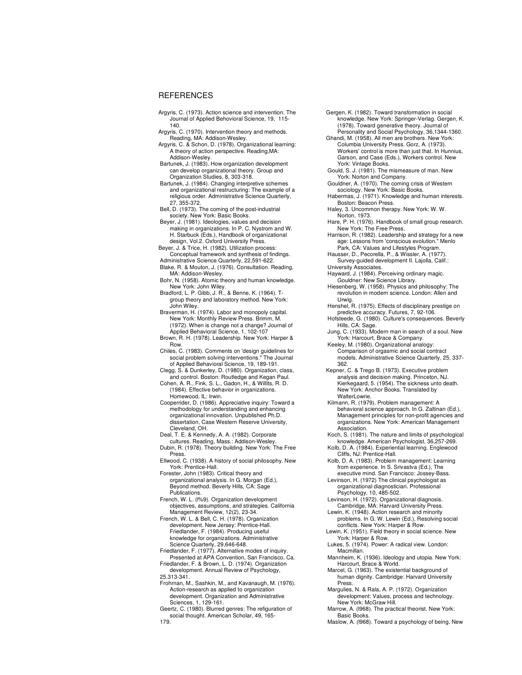### **REFERENCES**

- Argyris, C. (1973). Action science and intervention. The Journal of Applied Behovioral Science, 19, 115- 140.
- Argyris, C. (1970). Intervention theory and methods. Reading, MA: Addison-Wesley.
- Argyris, C. & Schon, D. (1978). Organizational learning: A theory of action perspective. Reading,MA: Addison-Wesley.
- Bartunek, J. (1983). How organization development can develop organizational theory. Group and Organization Studies, 8, 303-318.
- Bartunek, J. (1984). Changing interpretive schemes and organizational restructuring: The example of a religious order. Administrative Science Quarterly, 27, 355-372.
- Bell, D. (1973). The coming of the post-industrial society. New York: Basic Books.
- Beyer, J. (1981). Ideologies, values and decision making in organizations. In P. C. Nystrom and W. H. Starbuck (Eds.), Handbook of organizational design, Vol.2. Oxford University Press.
- Beyer, J. & Trice, H. (1982). Utilization process: Conceptual framework and synthesis of findings.
- Administrative Science Quarterly, 22,591-622.
- Blake, R. & Mouton, J. (1976). Consultation. Reading, MA: Addison-Wesley.
- Bohr, N. (1958). Atomic theory and human knowledge. New York: John Wiley.
- Bradford, L. P. Gibb, J. R., & Benne, K. (1964). Tgroup theory and laboratory method. New York: John Wiley.
- Braverman, H. (1974). Labor and monopoly capital. New York: Monthly Review Press. Brimm, M. (1972). When is change not a change? Journal of
- Applied Behavioral Science, 1, 102-107 Brown, R. H. (1978). Leadership. New York: Harper & Row.
- Chiles, C. (1983). Comments on 'design guidelines for social problem solving interventions." The Journal of Applied Behavioral Science, 19, 189-191.
- Clegg, S. & Dunkerley, D. (1980). Organization, class, and control. Boston: Routledge and Kegan Paul.
- Cohen, A. R., Fink, S. L., Gadon, H., & Willits, R. D. (1984). Effective behavior in organizations. Homewood, IL: Irwin.
- Cooperrider, D. (1986). Appreciative inquiry: Toward a methodology for understanding and enhancing organizational innovation. Unpublished Ph.D. dissertation, Case Western Reserve University, Cleveland, OH.
- Deal, T. E. & Kennedy, A. A. (1982). Corporate cultures. Reading, Mass.: Addison-Wesley. Dubin, R. (1978). Theory building. New York: The Free
- Press.
- Ellwood, C. (1938). A history of social philosophy. New York: Prentice-Hall.
- Forester, John (1983). Critical theory and organizational analysis. In G. Morgan (Ed.), Beyond method. Beverly Hills, CA: Sage Publications.
- French, W. L. (l%9). Organization development objectives, assumptions, and strategies. California Management Review, 12(2), 23-34.
- French, W. L. & Bell, C. H. (1978). Organization development. New Jersey: Prentice-Hall. Friedlander, F. (1984). Producing useful knowledge for organizations. Administrative Science Quarterly, 29,646-648.
- Friedlander, F. (1977). Alternative modes of inquiry. Presented at APA Convention, San Francisco, Ca.
- Friedlander, F. & Brown, L. D. (1974). Organization development. Annual Review of Psychology, 25.313-341.
- Frohrnan, M., Sashkin, M., and Kavanaugh, M. (1976). Action-research as applied to organization development. Organization and Administrative Sciences, 1, 129-161.
- Geertz, C. (1980). Blurred genres: The refiguration of social thought. American Scholar, 49, 165- 179.
- Gergen, K. (1982). Toward transformation in social knowledge. New York: Springer-Verlag. Gergen, K. (1978). Toward generative theory. Journal of
- Personality and Social Psychology, 36,1344-1360. Ghandi, M. (1958). All men are brothers. New York: Columbia University Press. Gorz, A. (1973). Workers' control is more than just that. In Hunnius, Garson, and Case (Eds.), Workers control. New York: Vintage Books.
- Gould, S. J. (1981). The mismeasure of man. New York: Norton and Company.
- Gouldner, A. (1970). The coming crisis of Western sociology. New York: Basic Books. Habermas, J. (1971). Knowledge and human interests.
- Boston: Beacon Press.
- Haley, 3. Uncommon therapy. New York: W. W. Norton, 1973.
- Hare, P. H. (1976). Handbook of small group research. New York: The Free Press.
- Harrison, R. (1982). Leadership and strategy for a new age: Lessons from 'conscious evolution." Menlo Park, CA: Values and Lifestyles Program.
- Hausser, D., Pecorella, P., & Wissler, A. (1977) Survey-guided development II. Lajolla, Calif.:
- University Associates. Hayward, J. (1984). Perceiving ordinary magic.
- Gouldner: New Science Library.
- Hiesenberg, W. (1958). Physics and philosophy: The revolution in modern science. London: Allen and Urwig.
- Henshel, R. (1975). Effects of disciplinary prestige on predictive accuracy. Futures, 7, 92-106.
- Hofsteede, G. (1980). Culture's consequences. Beverly Hills, CA: Sage. Jung, C. (1933). Modern man in search of a soul. New
- York: Harcourt, Brace & Company.
- Keeley, M. (1980). Organizational analogy: Comparison of orgasmic and social contract models. Administrative Science Quarterly, 25, 337- 362.
- Kepner, C. & Trego B. (1973). Executive problem analysis and decision making. Princeton, NJ. Kierkegaard, 5. (1954). The sickness unto death. New York: Anchor Books. Translated by WalterLowrie.
- Kilmann, R. (1979). Problem management: A behavioral science approach. In G. Zaltinan (Ed.), Management principles for non-profit agencies and organizations. New York: American Management Association.
- Koch, S. (1981). The nature and limits of psychological knowledge. American Psychologist, 36,257-269.
- KoIb, D. A. (1984). Experiential learning. Englewood Cliffs, NJ: Prentice-Hall.
- Kolb, D. A. (1983). Problem management: Learning from experience. In S. Srivastva (Ed.), The
- executive mind. San Francisco: Jossey-Bass. Levinson, H. (1972) The clinical psychologist as organizational diagnostician. Professional Psychology, 10, 485-502.
- Levinson, H. (1972). Organizational diagnosis. Cambridge, MA: Harvard University Press. Lewin, K. (1948). Action research and minority
- problems. In G. W. Lewin (Ed.), Resolving social conflicts. New York: Harper & Row. Lewin, K. (1951). Field theory in social science. New
- York: Harper & Row. Lukes, 5. (1974). Power: A radical view. London:
- Macmillan. Mannheim, K. (1936). Ideology and utopia. New York:
- Harcourt, Brace & World. Marcel, G. (1963). The existential background of
- human dignity. Cambridge: Harvard University Press.
- Margulies, N. & Rala, A. P. (1972). Organization development: Values, process and technology. New York: McGraw Hill.
- Marrow, A. (l968). The practical theorist. New York: Basic Books.
- Maslow, A. (l968). Toward a psychology of being. New